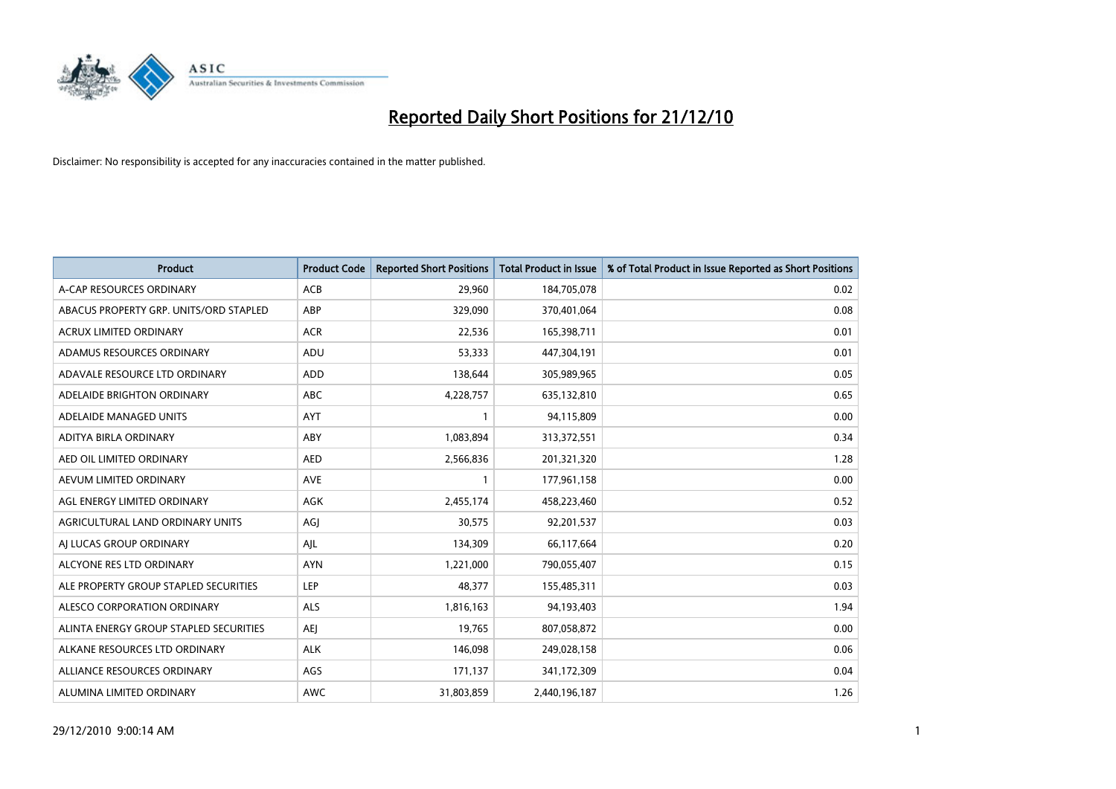

| Product                                | <b>Product Code</b> | <b>Reported Short Positions</b> | <b>Total Product in Issue</b> | % of Total Product in Issue Reported as Short Positions |
|----------------------------------------|---------------------|---------------------------------|-------------------------------|---------------------------------------------------------|
| A-CAP RESOURCES ORDINARY               | ACB                 | 29,960                          | 184,705,078                   | 0.02                                                    |
| ABACUS PROPERTY GRP. UNITS/ORD STAPLED | ABP                 | 329,090                         | 370,401,064                   | 0.08                                                    |
| <b>ACRUX LIMITED ORDINARY</b>          | <b>ACR</b>          | 22,536                          | 165,398,711                   | 0.01                                                    |
| ADAMUS RESOURCES ORDINARY              | ADU                 | 53,333                          | 447,304,191                   | 0.01                                                    |
| ADAVALE RESOURCE LTD ORDINARY          | <b>ADD</b>          | 138,644                         | 305,989,965                   | 0.05                                                    |
| ADELAIDE BRIGHTON ORDINARY             | <b>ABC</b>          | 4,228,757                       | 635,132,810                   | 0.65                                                    |
| ADELAIDE MANAGED UNITS                 | <b>AYT</b>          | $\mathbf{1}$                    | 94,115,809                    | 0.00                                                    |
| ADITYA BIRLA ORDINARY                  | ABY                 | 1,083,894                       | 313,372,551                   | 0.34                                                    |
| AED OIL LIMITED ORDINARY               | <b>AED</b>          | 2,566,836                       | 201,321,320                   | 1.28                                                    |
| AEVUM LIMITED ORDINARY                 | <b>AVE</b>          | 1                               | 177,961,158                   | 0.00                                                    |
| AGL ENERGY LIMITED ORDINARY            | <b>AGK</b>          | 2,455,174                       | 458,223,460                   | 0.52                                                    |
| AGRICULTURAL LAND ORDINARY UNITS       | AGJ                 | 30,575                          | 92,201,537                    | 0.03                                                    |
| AI LUCAS GROUP ORDINARY                | AJL                 | 134,309                         | 66,117,664                    | 0.20                                                    |
| ALCYONE RES LTD ORDINARY               | <b>AYN</b>          | 1,221,000                       | 790,055,407                   | 0.15                                                    |
| ALE PROPERTY GROUP STAPLED SECURITIES  | <b>LEP</b>          | 48,377                          | 155,485,311                   | 0.03                                                    |
| ALESCO CORPORATION ORDINARY            | <b>ALS</b>          | 1,816,163                       | 94,193,403                    | 1.94                                                    |
| ALINTA ENERGY GROUP STAPLED SECURITIES | <b>AEJ</b>          | 19,765                          | 807,058,872                   | 0.00                                                    |
| ALKANE RESOURCES LTD ORDINARY          | <b>ALK</b>          | 146,098                         | 249,028,158                   | 0.06                                                    |
| ALLIANCE RESOURCES ORDINARY            | AGS                 | 171,137                         | 341,172,309                   | 0.04                                                    |
| ALUMINA LIMITED ORDINARY               | <b>AWC</b>          | 31,803,859                      | 2,440,196,187                 | 1.26                                                    |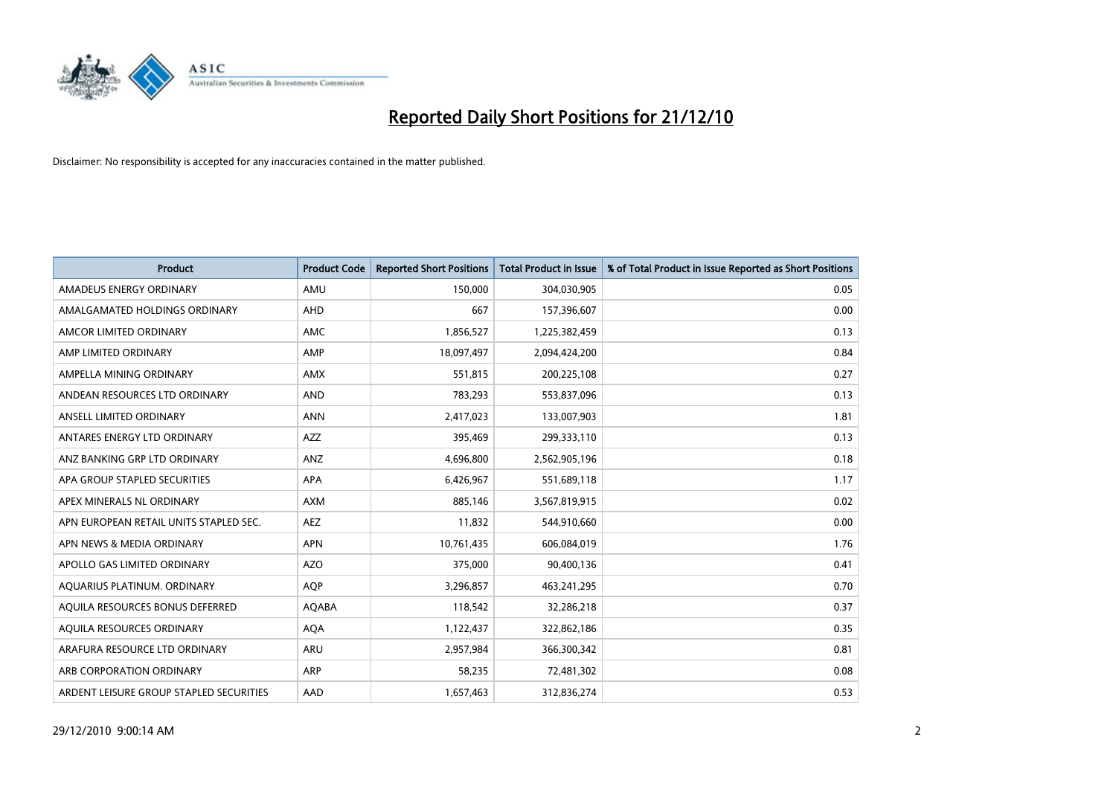

| Product                                 | <b>Product Code</b> | <b>Reported Short Positions</b> | <b>Total Product in Issue</b> | % of Total Product in Issue Reported as Short Positions |
|-----------------------------------------|---------------------|---------------------------------|-------------------------------|---------------------------------------------------------|
| AMADEUS ENERGY ORDINARY                 | AMU                 | 150,000                         | 304,030,905                   | 0.05                                                    |
| AMALGAMATED HOLDINGS ORDINARY           | AHD                 | 667                             | 157,396,607                   | 0.00                                                    |
| AMCOR LIMITED ORDINARY                  | <b>AMC</b>          | 1,856,527                       | 1,225,382,459                 | 0.13                                                    |
| AMP LIMITED ORDINARY                    | AMP                 | 18,097,497                      | 2,094,424,200                 | 0.84                                                    |
| AMPELLA MINING ORDINARY                 | <b>AMX</b>          | 551,815                         | 200,225,108                   | 0.27                                                    |
| ANDEAN RESOURCES LTD ORDINARY           | <b>AND</b>          | 783,293                         | 553,837,096                   | 0.13                                                    |
| ANSELL LIMITED ORDINARY                 | <b>ANN</b>          | 2,417,023                       | 133,007,903                   | 1.81                                                    |
| ANTARES ENERGY LTD ORDINARY             | AZZ                 | 395,469                         | 299,333,110                   | 0.13                                                    |
| ANZ BANKING GRP LTD ORDINARY            | ANZ                 | 4,696,800                       | 2,562,905,196                 | 0.18                                                    |
| APA GROUP STAPLED SECURITIES            | <b>APA</b>          | 6,426,967                       | 551,689,118                   | 1.17                                                    |
| APEX MINERALS NL ORDINARY               | <b>AXM</b>          | 885,146                         | 3,567,819,915                 | 0.02                                                    |
| APN EUROPEAN RETAIL UNITS STAPLED SEC.  | <b>AEZ</b>          | 11,832                          | 544,910,660                   | 0.00                                                    |
| APN NEWS & MEDIA ORDINARY               | <b>APN</b>          | 10,761,435                      | 606,084,019                   | 1.76                                                    |
| APOLLO GAS LIMITED ORDINARY             | <b>AZO</b>          | 375,000                         | 90,400,136                    | 0.41                                                    |
| AQUARIUS PLATINUM. ORDINARY             | <b>AOP</b>          | 3,296,857                       | 463,241,295                   | 0.70                                                    |
| AQUILA RESOURCES BONUS DEFERRED         | AQABA               | 118,542                         | 32,286,218                    | 0.37                                                    |
| AQUILA RESOURCES ORDINARY               | <b>AQA</b>          | 1,122,437                       | 322,862,186                   | 0.35                                                    |
| ARAFURA RESOURCE LTD ORDINARY           | ARU                 | 2,957,984                       | 366,300,342                   | 0.81                                                    |
| ARB CORPORATION ORDINARY                | ARP                 | 58,235                          | 72,481,302                    | 0.08                                                    |
| ARDENT LEISURE GROUP STAPLED SECURITIES | AAD                 | 1,657,463                       | 312,836,274                   | 0.53                                                    |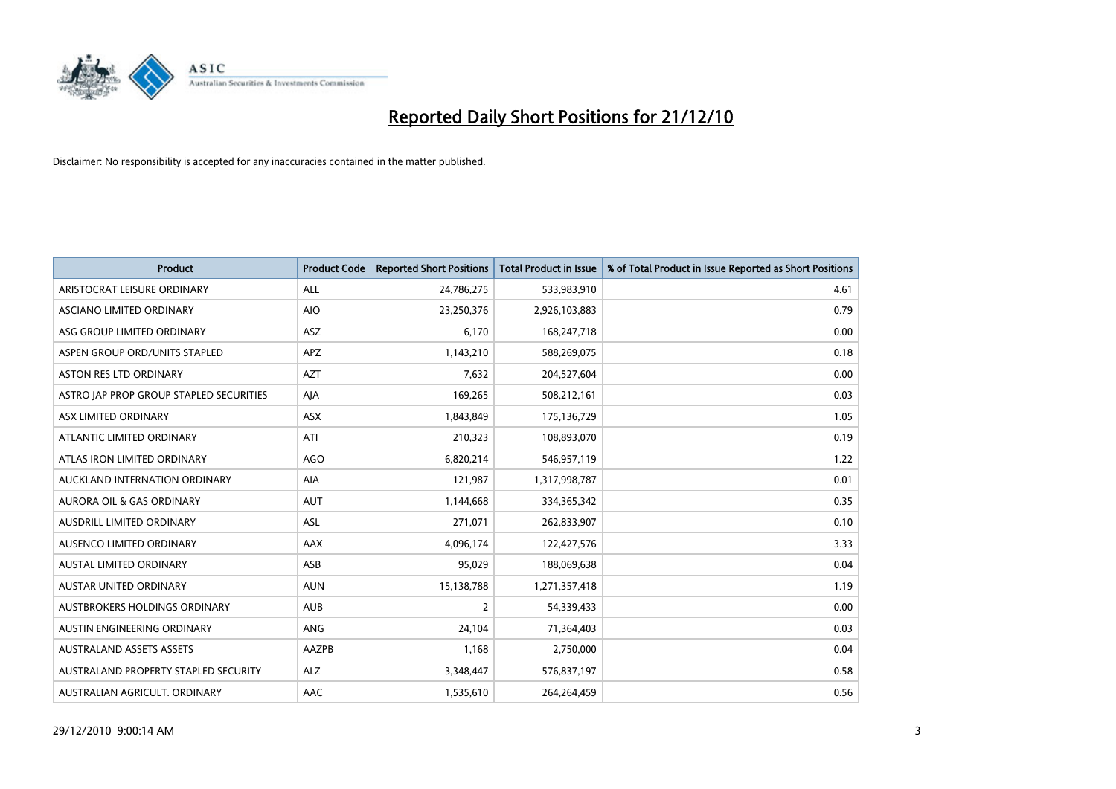

| Product                                 | <b>Product Code</b> | <b>Reported Short Positions</b> | <b>Total Product in Issue</b> | % of Total Product in Issue Reported as Short Positions |
|-----------------------------------------|---------------------|---------------------------------|-------------------------------|---------------------------------------------------------|
| ARISTOCRAT LEISURE ORDINARY             | <b>ALL</b>          | 24,786,275                      | 533,983,910                   | 4.61                                                    |
| ASCIANO LIMITED ORDINARY                | <b>AIO</b>          | 23,250,376                      | 2,926,103,883                 | 0.79                                                    |
| ASG GROUP LIMITED ORDINARY              | ASZ                 | 6,170                           | 168,247,718                   | 0.00                                                    |
| ASPEN GROUP ORD/UNITS STAPLED           | <b>APZ</b>          | 1,143,210                       | 588,269,075                   | 0.18                                                    |
| <b>ASTON RES LTD ORDINARY</b>           | <b>AZT</b>          | 7,632                           | 204,527,604                   | 0.00                                                    |
| ASTRO JAP PROP GROUP STAPLED SECURITIES | AJA                 | 169,265                         | 508,212,161                   | 0.03                                                    |
| ASX LIMITED ORDINARY                    | ASX                 | 1,843,849                       | 175,136,729                   | 1.05                                                    |
| ATLANTIC LIMITED ORDINARY               | ATI                 | 210,323                         | 108,893,070                   | 0.19                                                    |
| ATLAS IRON LIMITED ORDINARY             | <b>AGO</b>          | 6,820,214                       | 546,957,119                   | 1.22                                                    |
| AUCKLAND INTERNATION ORDINARY           | AIA                 | 121,987                         | 1,317,998,787                 | 0.01                                                    |
| AURORA OIL & GAS ORDINARY               | <b>AUT</b>          | 1,144,668                       | 334,365,342                   | 0.35                                                    |
| AUSDRILL LIMITED ORDINARY               | <b>ASL</b>          | 271,071                         | 262,833,907                   | 0.10                                                    |
| AUSENCO LIMITED ORDINARY                | AAX                 | 4,096,174                       | 122,427,576                   | 3.33                                                    |
| <b>AUSTAL LIMITED ORDINARY</b>          | ASB                 | 95,029                          | 188,069,638                   | 0.04                                                    |
| AUSTAR UNITED ORDINARY                  | <b>AUN</b>          | 15,138,788                      | 1,271,357,418                 | 1.19                                                    |
| AUSTBROKERS HOLDINGS ORDINARY           | <b>AUB</b>          | 2                               | 54,339,433                    | 0.00                                                    |
| AUSTIN ENGINEERING ORDINARY             | ANG                 | 24,104                          | 71,364,403                    | 0.03                                                    |
| <b>AUSTRALAND ASSETS ASSETS</b>         | AAZPB               | 1,168                           | 2,750,000                     | 0.04                                                    |
| AUSTRALAND PROPERTY STAPLED SECURITY    | <b>ALZ</b>          | 3,348,447                       | 576,837,197                   | 0.58                                                    |
| AUSTRALIAN AGRICULT. ORDINARY           | AAC                 | 1,535,610                       | 264,264,459                   | 0.56                                                    |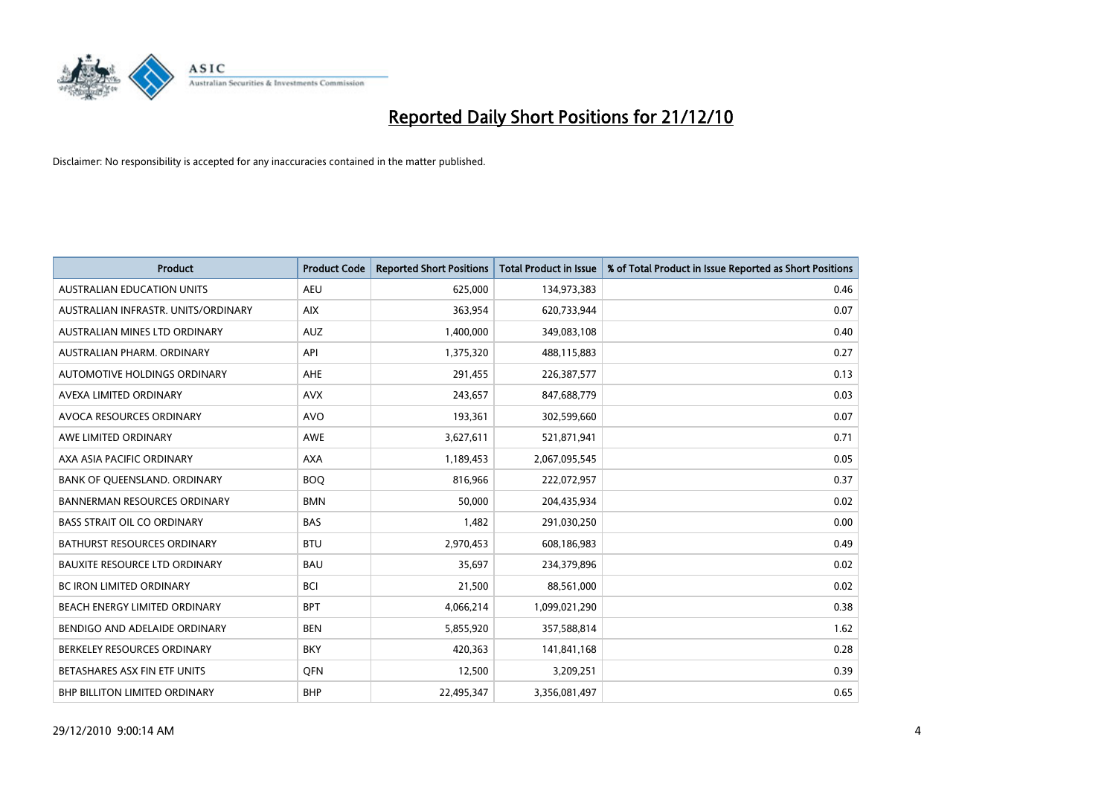

| <b>Product</b>                       | <b>Product Code</b> | <b>Reported Short Positions</b> | Total Product in Issue | % of Total Product in Issue Reported as Short Positions |
|--------------------------------------|---------------------|---------------------------------|------------------------|---------------------------------------------------------|
| <b>AUSTRALIAN EDUCATION UNITS</b>    | <b>AEU</b>          | 625,000                         | 134,973,383            | 0.46                                                    |
| AUSTRALIAN INFRASTR, UNITS/ORDINARY  | <b>AIX</b>          | 363,954                         | 620,733,944            | 0.07                                                    |
| AUSTRALIAN MINES LTD ORDINARY        | <b>AUZ</b>          | 1,400,000                       | 349,083,108            | 0.40                                                    |
| AUSTRALIAN PHARM. ORDINARY           | API                 | 1,375,320                       | 488,115,883            | 0.27                                                    |
| AUTOMOTIVE HOLDINGS ORDINARY         | <b>AHE</b>          | 291,455                         | 226,387,577            | 0.13                                                    |
| AVEXA LIMITED ORDINARY               | <b>AVX</b>          | 243,657                         | 847,688,779            | 0.03                                                    |
| AVOCA RESOURCES ORDINARY             | <b>AVO</b>          | 193,361                         | 302,599,660            | 0.07                                                    |
| AWE LIMITED ORDINARY                 | <b>AWE</b>          | 3,627,611                       | 521,871,941            | 0.71                                                    |
| AXA ASIA PACIFIC ORDINARY            | <b>AXA</b>          | 1,189,453                       | 2,067,095,545          | 0.05                                                    |
| BANK OF OUEENSLAND, ORDINARY         | <b>BOO</b>          | 816,966                         | 222,072,957            | 0.37                                                    |
| <b>BANNERMAN RESOURCES ORDINARY</b>  | <b>BMN</b>          | 50,000                          | 204,435,934            | 0.02                                                    |
| <b>BASS STRAIT OIL CO ORDINARY</b>   | <b>BAS</b>          | 1,482                           | 291,030,250            | 0.00                                                    |
| <b>BATHURST RESOURCES ORDINARY</b>   | <b>BTU</b>          | 2,970,453                       | 608,186,983            | 0.49                                                    |
| <b>BAUXITE RESOURCE LTD ORDINARY</b> | <b>BAU</b>          | 35.697                          | 234,379,896            | 0.02                                                    |
| <b>BC IRON LIMITED ORDINARY</b>      | <b>BCI</b>          | 21,500                          | 88,561,000             | 0.02                                                    |
| BEACH ENERGY LIMITED ORDINARY        | <b>BPT</b>          | 4,066,214                       | 1,099,021,290          | 0.38                                                    |
| BENDIGO AND ADELAIDE ORDINARY        | <b>BEN</b>          | 5,855,920                       | 357,588,814            | 1.62                                                    |
| BERKELEY RESOURCES ORDINARY          | <b>BKY</b>          | 420,363                         | 141,841,168            | 0.28                                                    |
| BETASHARES ASX FIN ETF UNITS         | <b>OFN</b>          | 12,500                          | 3,209,251              | 0.39                                                    |
| <b>BHP BILLITON LIMITED ORDINARY</b> | <b>BHP</b>          | 22,495,347                      | 3,356,081,497          | 0.65                                                    |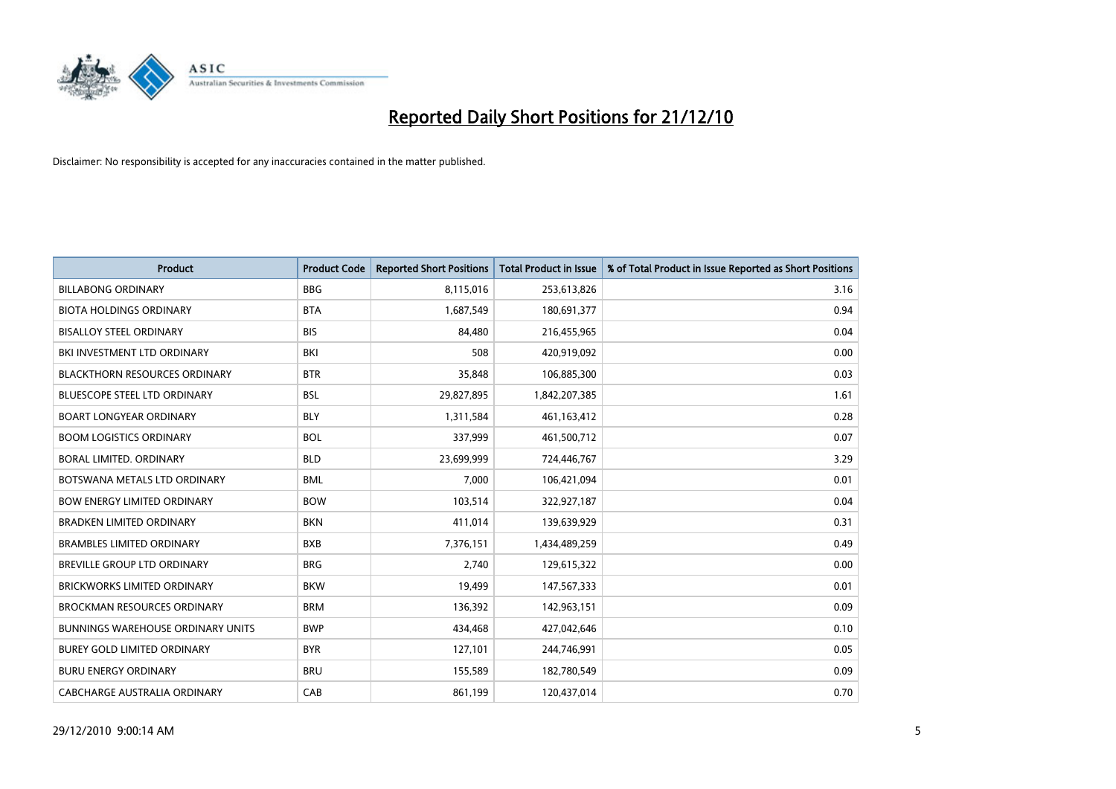

| Product                                  | <b>Product Code</b> | <b>Reported Short Positions</b> | <b>Total Product in Issue</b> | % of Total Product in Issue Reported as Short Positions |
|------------------------------------------|---------------------|---------------------------------|-------------------------------|---------------------------------------------------------|
| <b>BILLABONG ORDINARY</b>                | <b>BBG</b>          | 8,115,016                       | 253,613,826                   | 3.16                                                    |
| <b>BIOTA HOLDINGS ORDINARY</b>           | <b>BTA</b>          | 1,687,549                       | 180,691,377                   | 0.94                                                    |
| <b>BISALLOY STEEL ORDINARY</b>           | <b>BIS</b>          | 84,480                          | 216,455,965                   | 0.04                                                    |
| BKI INVESTMENT LTD ORDINARY              | <b>BKI</b>          | 508                             | 420,919,092                   | 0.00                                                    |
| <b>BLACKTHORN RESOURCES ORDINARY</b>     | <b>BTR</b>          | 35,848                          | 106,885,300                   | 0.03                                                    |
| <b>BLUESCOPE STEEL LTD ORDINARY</b>      | <b>BSL</b>          | 29,827,895                      | 1,842,207,385                 | 1.61                                                    |
| <b>BOART LONGYEAR ORDINARY</b>           | <b>BLY</b>          | 1,311,584                       | 461,163,412                   | 0.28                                                    |
| <b>BOOM LOGISTICS ORDINARY</b>           | <b>BOL</b>          | 337,999                         | 461,500,712                   | 0.07                                                    |
| <b>BORAL LIMITED, ORDINARY</b>           | <b>BLD</b>          | 23,699,999                      | 724,446,767                   | 3.29                                                    |
| BOTSWANA METALS LTD ORDINARY             | <b>BML</b>          | 7,000                           | 106,421,094                   | 0.01                                                    |
| <b>BOW ENERGY LIMITED ORDINARY</b>       | <b>BOW</b>          | 103,514                         | 322,927,187                   | 0.04                                                    |
| <b>BRADKEN LIMITED ORDINARY</b>          | <b>BKN</b>          | 411,014                         | 139,639,929                   | 0.31                                                    |
| <b>BRAMBLES LIMITED ORDINARY</b>         | <b>BXB</b>          | 7,376,151                       | 1,434,489,259                 | 0.49                                                    |
| BREVILLE GROUP LTD ORDINARY              | <b>BRG</b>          | 2,740                           | 129,615,322                   | 0.00                                                    |
| <b>BRICKWORKS LIMITED ORDINARY</b>       | <b>BKW</b>          | 19,499                          | 147,567,333                   | 0.01                                                    |
| <b>BROCKMAN RESOURCES ORDINARY</b>       | <b>BRM</b>          | 136,392                         | 142,963,151                   | 0.09                                                    |
| <b>BUNNINGS WAREHOUSE ORDINARY UNITS</b> | <b>BWP</b>          | 434,468                         | 427,042,646                   | 0.10                                                    |
| BUREY GOLD LIMITED ORDINARY              | <b>BYR</b>          | 127,101                         | 244,746,991                   | 0.05                                                    |
| <b>BURU ENERGY ORDINARY</b>              | <b>BRU</b>          | 155,589                         | 182,780,549                   | 0.09                                                    |
| CABCHARGE AUSTRALIA ORDINARY             | CAB                 | 861,199                         | 120,437,014                   | 0.70                                                    |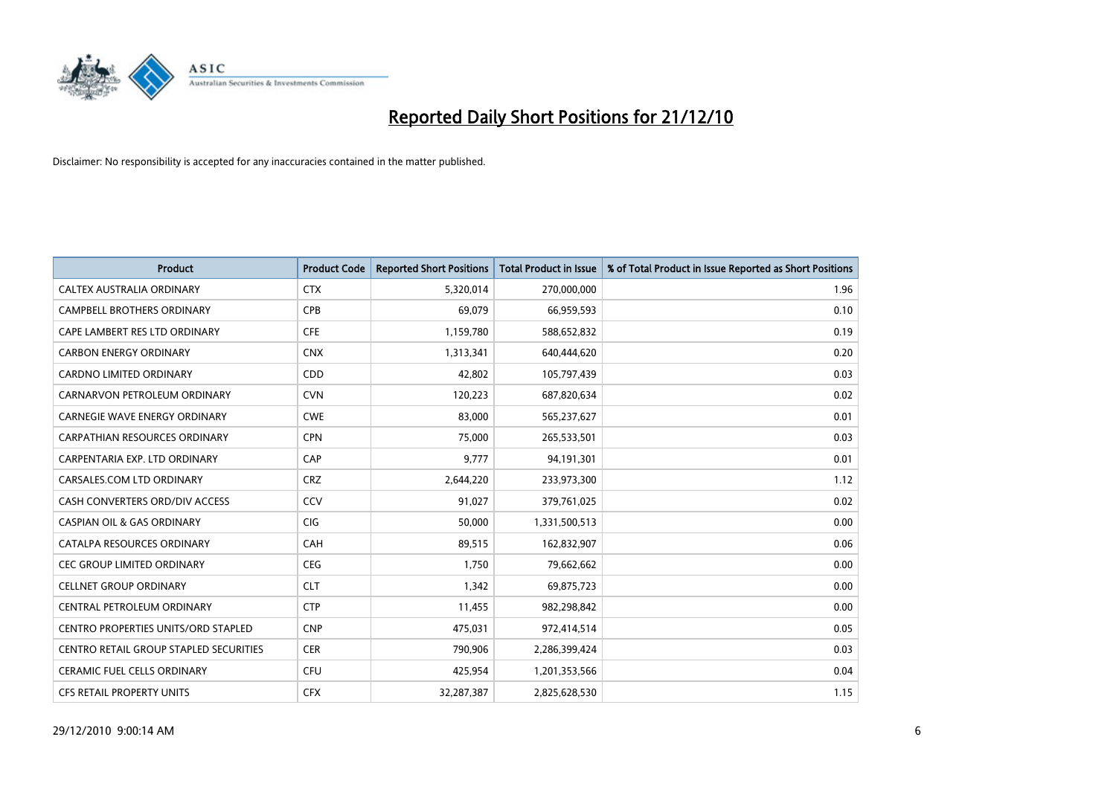

| Product                                    | <b>Product Code</b> | <b>Reported Short Positions</b> | <b>Total Product in Issue</b> | % of Total Product in Issue Reported as Short Positions |
|--------------------------------------------|---------------------|---------------------------------|-------------------------------|---------------------------------------------------------|
| <b>CALTEX AUSTRALIA ORDINARY</b>           | <b>CTX</b>          | 5,320,014                       | 270,000,000                   | 1.96                                                    |
| <b>CAMPBELL BROTHERS ORDINARY</b>          | <b>CPB</b>          | 69,079                          | 66,959,593                    | 0.10                                                    |
| CAPE LAMBERT RES LTD ORDINARY              | <b>CFE</b>          | 1,159,780                       | 588,652,832                   | 0.19                                                    |
| <b>CARBON ENERGY ORDINARY</b>              | <b>CNX</b>          | 1,313,341                       | 640,444,620                   | 0.20                                                    |
| CARDNO LIMITED ORDINARY                    | CDD                 | 42.802                          | 105,797,439                   | 0.03                                                    |
| CARNARVON PETROLEUM ORDINARY               | <b>CVN</b>          | 120,223                         | 687,820,634                   | 0.02                                                    |
| <b>CARNEGIE WAVE ENERGY ORDINARY</b>       | <b>CWE</b>          | 83.000                          | 565,237,627                   | 0.01                                                    |
| <b>CARPATHIAN RESOURCES ORDINARY</b>       | <b>CPN</b>          | 75,000                          | 265,533,501                   | 0.03                                                    |
| CARPENTARIA EXP. LTD ORDINARY              | CAP                 | 9,777                           | 94,191,301                    | 0.01                                                    |
| CARSALES.COM LTD ORDINARY                  | <b>CRZ</b>          | 2,644,220                       | 233,973,300                   | 1.12                                                    |
| CASH CONVERTERS ORD/DIV ACCESS             | CCV                 | 91,027                          | 379,761,025                   | 0.02                                                    |
| <b>CASPIAN OIL &amp; GAS ORDINARY</b>      | CIG                 | 50,000                          | 1,331,500,513                 | 0.00                                                    |
| CATALPA RESOURCES ORDINARY                 | CAH                 | 89,515                          | 162,832,907                   | 0.06                                                    |
| <b>CEC GROUP LIMITED ORDINARY</b>          | <b>CEG</b>          | 1.750                           | 79,662,662                    | 0.00                                                    |
| <b>CELLNET GROUP ORDINARY</b>              | <b>CLT</b>          | 1,342                           | 69,875,723                    | 0.00                                                    |
| CENTRAL PETROLEUM ORDINARY                 | <b>CTP</b>          | 11,455                          | 982,298,842                   | 0.00                                                    |
| <b>CENTRO PROPERTIES UNITS/ORD STAPLED</b> | <b>CNP</b>          | 475,031                         | 972,414,514                   | 0.05                                                    |
| CENTRO RETAIL GROUP STAPLED SECURITIES     | <b>CER</b>          | 790,906                         | 2,286,399,424                 | 0.03                                                    |
| CERAMIC FUEL CELLS ORDINARY                | <b>CFU</b>          | 425,954                         | 1,201,353,566                 | 0.04                                                    |
| <b>CFS RETAIL PROPERTY UNITS</b>           | <b>CFX</b>          | 32,287,387                      | 2,825,628,530                 | 1.15                                                    |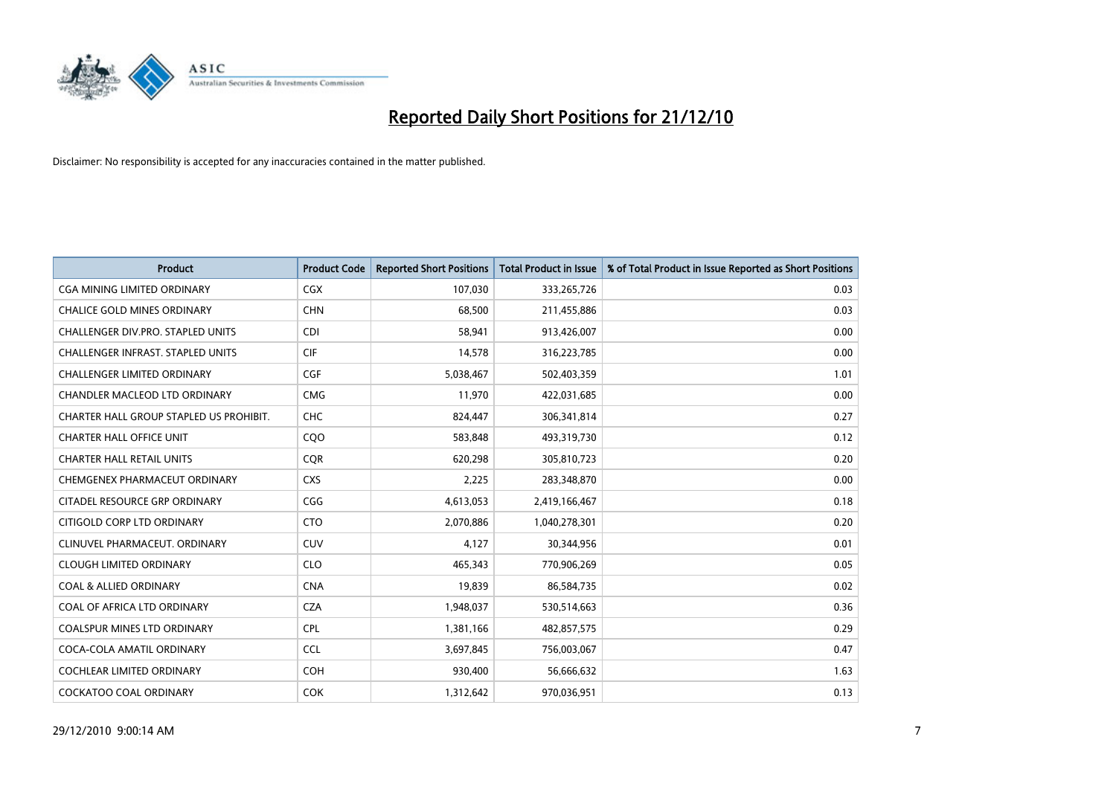

| <b>Product</b>                          | <b>Product Code</b> | <b>Reported Short Positions</b> | <b>Total Product in Issue</b> | % of Total Product in Issue Reported as Short Positions |
|-----------------------------------------|---------------------|---------------------------------|-------------------------------|---------------------------------------------------------|
| <b>CGA MINING LIMITED ORDINARY</b>      | CGX                 | 107,030                         | 333,265,726                   | 0.03                                                    |
| CHALICE GOLD MINES ORDINARY             | <b>CHN</b>          | 68,500                          | 211,455,886                   | 0.03                                                    |
| CHALLENGER DIV.PRO. STAPLED UNITS       | <b>CDI</b>          | 58,941                          | 913,426,007                   | 0.00                                                    |
| CHALLENGER INFRAST. STAPLED UNITS       | <b>CIF</b>          | 14,578                          | 316,223,785                   | 0.00                                                    |
| <b>CHALLENGER LIMITED ORDINARY</b>      | <b>CGF</b>          | 5,038,467                       | 502,403,359                   | 1.01                                                    |
| CHANDLER MACLEOD LTD ORDINARY           | <b>CMG</b>          | 11,970                          | 422,031,685                   | 0.00                                                    |
| CHARTER HALL GROUP STAPLED US PROHIBIT. | <b>CHC</b>          | 824,447                         | 306,341,814                   | 0.27                                                    |
| <b>CHARTER HALL OFFICE UNIT</b>         | CQO                 | 583,848                         | 493,319,730                   | 0.12                                                    |
| <b>CHARTER HALL RETAIL UNITS</b>        | <b>COR</b>          | 620,298                         | 305,810,723                   | 0.20                                                    |
| CHEMGENEX PHARMACEUT ORDINARY           | <b>CXS</b>          | 2,225                           | 283,348,870                   | 0.00                                                    |
| CITADEL RESOURCE GRP ORDINARY           | CGG                 | 4,613,053                       | 2,419,166,467                 | 0.18                                                    |
| CITIGOLD CORP LTD ORDINARY              | <b>CTO</b>          | 2,070,886                       | 1,040,278,301                 | 0.20                                                    |
| CLINUVEL PHARMACEUT, ORDINARY           | CUV                 | 4,127                           | 30,344,956                    | 0.01                                                    |
| <b>CLOUGH LIMITED ORDINARY</b>          | <b>CLO</b>          | 465,343                         | 770,906,269                   | 0.05                                                    |
| <b>COAL &amp; ALLIED ORDINARY</b>       | <b>CNA</b>          | 19,839                          | 86,584,735                    | 0.02                                                    |
| COAL OF AFRICA LTD ORDINARY             | <b>CZA</b>          | 1,948,037                       | 530,514,663                   | 0.36                                                    |
| <b>COALSPUR MINES LTD ORDINARY</b>      | <b>CPL</b>          | 1,381,166                       | 482,857,575                   | 0.29                                                    |
| COCA-COLA AMATIL ORDINARY               | <b>CCL</b>          | 3,697,845                       | 756,003,067                   | 0.47                                                    |
| <b>COCHLEAR LIMITED ORDINARY</b>        | <b>COH</b>          | 930,400                         | 56,666,632                    | 1.63                                                    |
| <b>COCKATOO COAL ORDINARY</b>           | COK                 | 1,312,642                       | 970,036,951                   | 0.13                                                    |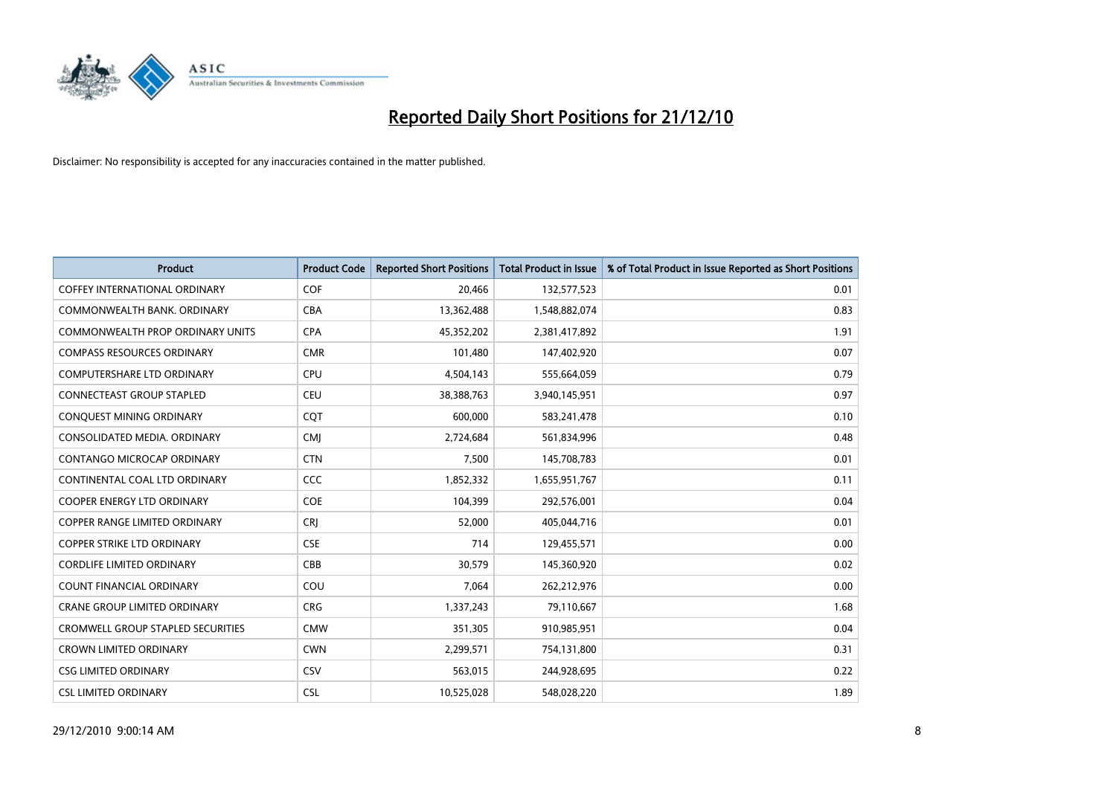

| <b>Product</b>                       | <b>Product Code</b> | <b>Reported Short Positions</b> | <b>Total Product in Issue</b> | % of Total Product in Issue Reported as Short Positions |
|--------------------------------------|---------------------|---------------------------------|-------------------------------|---------------------------------------------------------|
| <b>COFFEY INTERNATIONAL ORDINARY</b> | <b>COF</b>          | 20,466                          | 132,577,523                   | 0.01                                                    |
| COMMONWEALTH BANK, ORDINARY          | <b>CBA</b>          | 13,362,488                      | 1,548,882,074                 | 0.83                                                    |
| COMMONWEALTH PROP ORDINARY UNITS     | <b>CPA</b>          | 45,352,202                      | 2,381,417,892                 | 1.91                                                    |
| <b>COMPASS RESOURCES ORDINARY</b>    | <b>CMR</b>          | 101,480                         | 147,402,920                   | 0.07                                                    |
| <b>COMPUTERSHARE LTD ORDINARY</b>    | <b>CPU</b>          | 4,504,143                       | 555,664,059                   | 0.79                                                    |
| <b>CONNECTEAST GROUP STAPLED</b>     | <b>CEU</b>          | 38,388,763                      | 3,940,145,951                 | 0.97                                                    |
| CONQUEST MINING ORDINARY             | <b>COT</b>          | 600,000                         | 583,241,478                   | 0.10                                                    |
| CONSOLIDATED MEDIA, ORDINARY         | <b>CMI</b>          | 2,724,684                       | 561,834,996                   | 0.48                                                    |
| CONTANGO MICROCAP ORDINARY           | <b>CTN</b>          | 7,500                           | 145,708,783                   | 0.01                                                    |
| CONTINENTAL COAL LTD ORDINARY        | <b>CCC</b>          | 1,852,332                       | 1,655,951,767                 | 0.11                                                    |
| COOPER ENERGY LTD ORDINARY           | <b>COE</b>          | 104,399                         | 292,576,001                   | 0.04                                                    |
| <b>COPPER RANGE LIMITED ORDINARY</b> | CRJ                 | 52,000                          | 405,044,716                   | 0.01                                                    |
| COPPER STRIKE LTD ORDINARY           | <b>CSE</b>          | 714                             | 129,455,571                   | 0.00                                                    |
| <b>CORDLIFE LIMITED ORDINARY</b>     | CBB                 | 30,579                          | 145,360,920                   | 0.02                                                    |
| <b>COUNT FINANCIAL ORDINARY</b>      | COU                 | 7,064                           | 262,212,976                   | 0.00                                                    |
| <b>CRANE GROUP LIMITED ORDINARY</b>  | <b>CRG</b>          | 1,337,243                       | 79,110,667                    | 1.68                                                    |
| CROMWELL GROUP STAPLED SECURITIES    | <b>CMW</b>          | 351,305                         | 910,985,951                   | 0.04                                                    |
| <b>CROWN LIMITED ORDINARY</b>        | <b>CWN</b>          | 2,299,571                       | 754,131,800                   | 0.31                                                    |
| <b>CSG LIMITED ORDINARY</b>          | CSV                 | 563,015                         | 244,928,695                   | 0.22                                                    |
| <b>CSL LIMITED ORDINARY</b>          | <b>CSL</b>          | 10,525,028                      | 548,028,220                   | 1.89                                                    |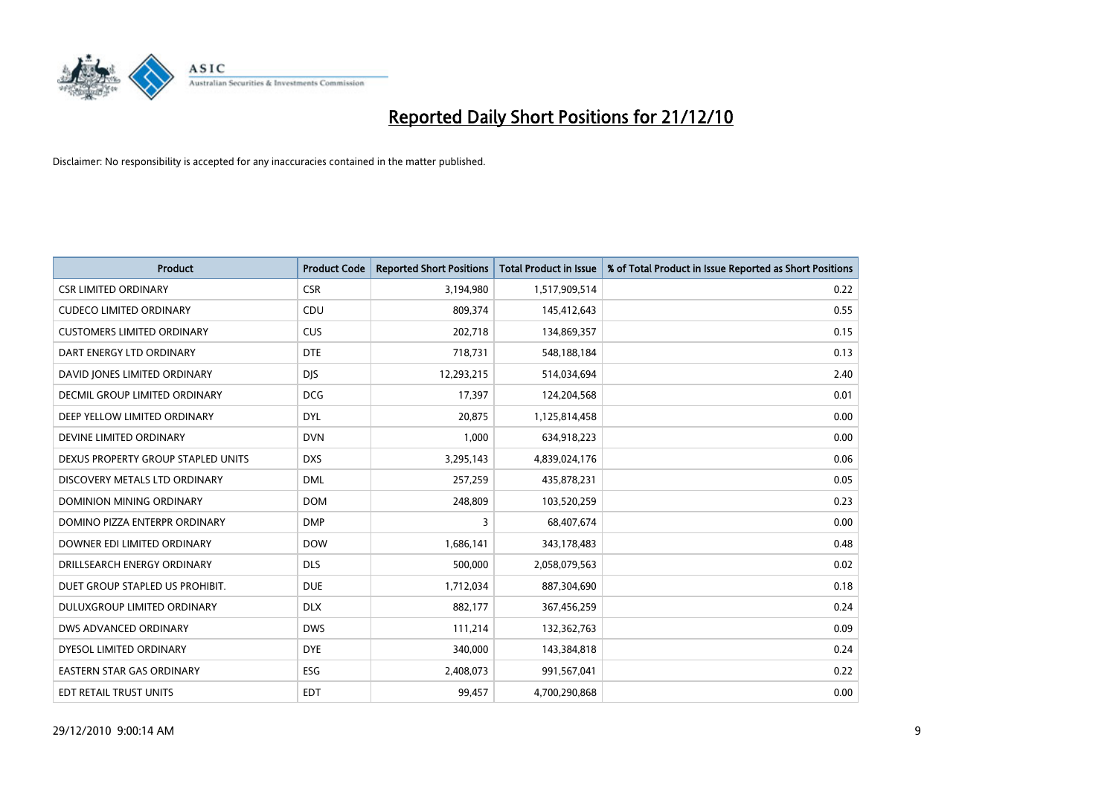

| Product                            | <b>Product Code</b> | <b>Reported Short Positions</b> | <b>Total Product in Issue</b> | % of Total Product in Issue Reported as Short Positions |
|------------------------------------|---------------------|---------------------------------|-------------------------------|---------------------------------------------------------|
| <b>CSR LIMITED ORDINARY</b>        | <b>CSR</b>          | 3,194,980                       | 1,517,909,514                 | 0.22                                                    |
| <b>CUDECO LIMITED ORDINARY</b>     | CDU                 | 809,374                         | 145,412,643                   | 0.55                                                    |
| <b>CUSTOMERS LIMITED ORDINARY</b>  | <b>CUS</b>          | 202,718                         | 134,869,357                   | 0.15                                                    |
| DART ENERGY LTD ORDINARY           | <b>DTE</b>          | 718,731                         | 548,188,184                   | 0.13                                                    |
| DAVID JONES LIMITED ORDINARY       | <b>DJS</b>          | 12,293,215                      | 514,034,694                   | 2.40                                                    |
| DECMIL GROUP LIMITED ORDINARY      | <b>DCG</b>          | 17,397                          | 124,204,568                   | 0.01                                                    |
| DEEP YELLOW LIMITED ORDINARY       | <b>DYL</b>          | 20.875                          | 1,125,814,458                 | 0.00                                                    |
| DEVINE LIMITED ORDINARY            | <b>DVN</b>          | 1,000                           | 634,918,223                   | 0.00                                                    |
| DEXUS PROPERTY GROUP STAPLED UNITS | <b>DXS</b>          | 3,295,143                       | 4,839,024,176                 | 0.06                                                    |
| DISCOVERY METALS LTD ORDINARY      | <b>DML</b>          | 257,259                         | 435,878,231                   | 0.05                                                    |
| DOMINION MINING ORDINARY           | <b>DOM</b>          | 248,809                         | 103,520,259                   | 0.23                                                    |
| DOMINO PIZZA ENTERPR ORDINARY      | <b>DMP</b>          | 3                               | 68,407,674                    | 0.00                                                    |
| DOWNER EDI LIMITED ORDINARY        | <b>DOW</b>          | 1,686,141                       | 343,178,483                   | 0.48                                                    |
| DRILLSEARCH ENERGY ORDINARY        | <b>DLS</b>          | 500,000                         | 2,058,079,563                 | 0.02                                                    |
| DUET GROUP STAPLED US PROHIBIT.    | <b>DUE</b>          | 1,712,034                       | 887,304,690                   | 0.18                                                    |
| DULUXGROUP LIMITED ORDINARY        | <b>DLX</b>          | 882,177                         | 367,456,259                   | 0.24                                                    |
| DWS ADVANCED ORDINARY              | <b>DWS</b>          | 111,214                         | 132,362,763                   | 0.09                                                    |
| DYESOL LIMITED ORDINARY            | <b>DYE</b>          | 340,000                         | 143,384,818                   | 0.24                                                    |
| <b>EASTERN STAR GAS ORDINARY</b>   | <b>ESG</b>          | 2,408,073                       | 991,567,041                   | 0.22                                                    |
| <b>EDT RETAIL TRUST UNITS</b>      | <b>EDT</b>          | 99,457                          | 4,700,290,868                 | 0.00                                                    |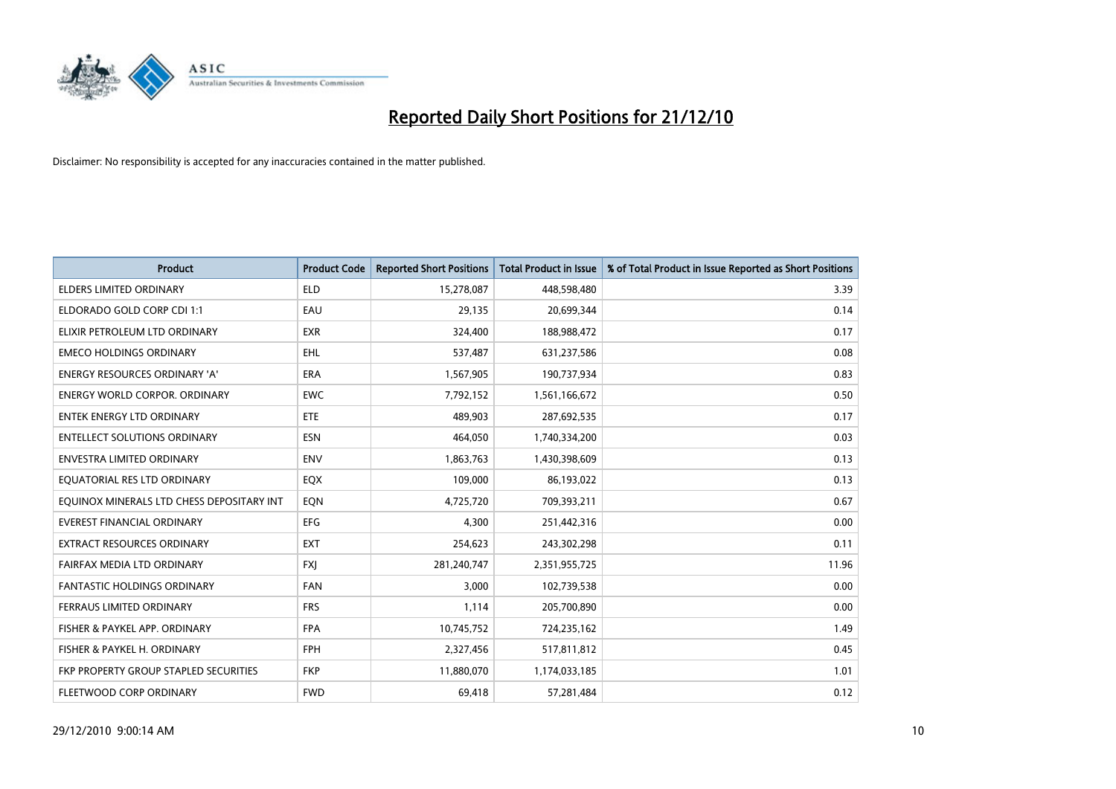

| Product                                   | <b>Product Code</b> | <b>Reported Short Positions</b> | <b>Total Product in Issue</b> | % of Total Product in Issue Reported as Short Positions |
|-------------------------------------------|---------------------|---------------------------------|-------------------------------|---------------------------------------------------------|
| <b>ELDERS LIMITED ORDINARY</b>            | <b>ELD</b>          | 15,278,087                      | 448,598,480                   | 3.39                                                    |
| ELDORADO GOLD CORP CDI 1:1                | EAU                 | 29,135                          | 20,699,344                    | 0.14                                                    |
| ELIXIR PETROLEUM LTD ORDINARY             | <b>EXR</b>          | 324,400                         | 188,988,472                   | 0.17                                                    |
| <b>EMECO HOLDINGS ORDINARY</b>            | <b>EHL</b>          | 537,487                         | 631,237,586                   | 0.08                                                    |
| <b>ENERGY RESOURCES ORDINARY 'A'</b>      | <b>ERA</b>          | 1,567,905                       | 190,737,934                   | 0.83                                                    |
| <b>ENERGY WORLD CORPOR, ORDINARY</b>      | <b>EWC</b>          | 7,792,152                       | 1,561,166,672                 | 0.50                                                    |
| ENTEK ENERGY LTD ORDINARY                 | <b>ETE</b>          | 489,903                         | 287,692,535                   | 0.17                                                    |
| <b>ENTELLECT SOLUTIONS ORDINARY</b>       | <b>ESN</b>          | 464,050                         | 1,740,334,200                 | 0.03                                                    |
| <b>ENVESTRA LIMITED ORDINARY</b>          | <b>ENV</b>          | 1,863,763                       | 1,430,398,609                 | 0.13                                                    |
| EQUATORIAL RES LTD ORDINARY               | EQX                 | 109,000                         | 86,193,022                    | 0.13                                                    |
| EQUINOX MINERALS LTD CHESS DEPOSITARY INT | EQN                 | 4,725,720                       | 709,393,211                   | 0.67                                                    |
| <b>EVEREST FINANCIAL ORDINARY</b>         | EFG                 | 4,300                           | 251,442,316                   | 0.00                                                    |
| <b>EXTRACT RESOURCES ORDINARY</b>         | <b>EXT</b>          | 254,623                         | 243,302,298                   | 0.11                                                    |
| FAIRFAX MEDIA LTD ORDINARY                | <b>FXI</b>          | 281,240,747                     | 2,351,955,725                 | 11.96                                                   |
| <b>FANTASTIC HOLDINGS ORDINARY</b>        | <b>FAN</b>          | 3,000                           | 102,739,538                   | 0.00                                                    |
| FERRAUS LIMITED ORDINARY                  | <b>FRS</b>          | 1,114                           | 205,700,890                   | 0.00                                                    |
| FISHER & PAYKEL APP. ORDINARY             | <b>FPA</b>          | 10,745,752                      | 724,235,162                   | 1.49                                                    |
| FISHER & PAYKEL H. ORDINARY               | <b>FPH</b>          | 2,327,456                       | 517,811,812                   | 0.45                                                    |
| FKP PROPERTY GROUP STAPLED SECURITIES     | <b>FKP</b>          | 11,880,070                      | 1,174,033,185                 | 1.01                                                    |
| FLEETWOOD CORP ORDINARY                   | <b>FWD</b>          | 69,418                          | 57,281,484                    | 0.12                                                    |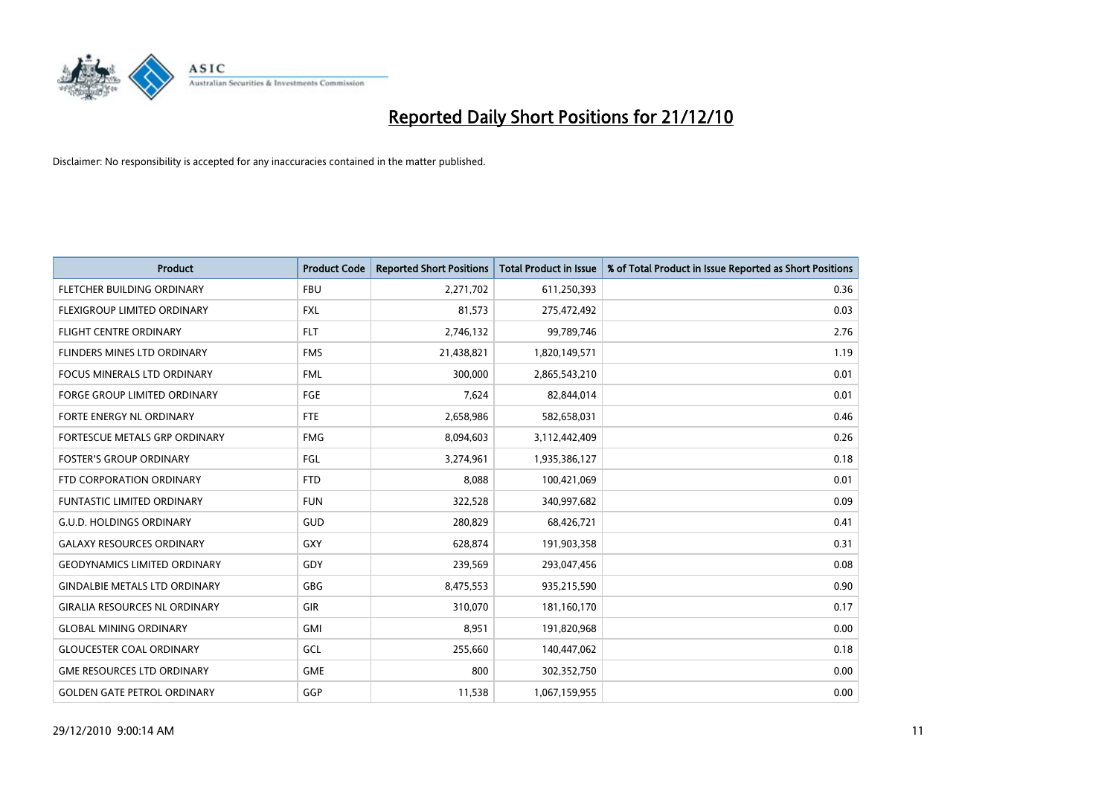

| <b>Product</b>                       | <b>Product Code</b> | <b>Reported Short Positions</b> | Total Product in Issue | % of Total Product in Issue Reported as Short Positions |
|--------------------------------------|---------------------|---------------------------------|------------------------|---------------------------------------------------------|
| FLETCHER BUILDING ORDINARY           | <b>FBU</b>          | 2,271,702                       | 611,250,393            | 0.36                                                    |
| FLEXIGROUP LIMITED ORDINARY          | <b>FXL</b>          | 81,573                          | 275,472,492            | 0.03                                                    |
| <b>FLIGHT CENTRE ORDINARY</b>        | <b>FLT</b>          | 2,746,132                       | 99,789,746             | 2.76                                                    |
| FLINDERS MINES LTD ORDINARY          | <b>FMS</b>          | 21,438,821                      | 1,820,149,571          | 1.19                                                    |
| <b>FOCUS MINERALS LTD ORDINARY</b>   | <b>FML</b>          | 300.000                         | 2,865,543,210          | 0.01                                                    |
| <b>FORGE GROUP LIMITED ORDINARY</b>  | FGE                 | 7,624                           | 82,844,014             | 0.01                                                    |
| FORTE ENERGY NL ORDINARY             | <b>FTE</b>          | 2,658,986                       | 582,658,031            | 0.46                                                    |
| FORTESCUE METALS GRP ORDINARY        | <b>FMG</b>          | 8,094,603                       | 3,112,442,409          | 0.26                                                    |
| <b>FOSTER'S GROUP ORDINARY</b>       | <b>FGL</b>          | 3,274,961                       | 1,935,386,127          | 0.18                                                    |
| FTD CORPORATION ORDINARY             | <b>FTD</b>          | 8,088                           | 100,421,069            | 0.01                                                    |
| <b>FUNTASTIC LIMITED ORDINARY</b>    | <b>FUN</b>          | 322,528                         | 340,997,682            | 0.09                                                    |
| <b>G.U.D. HOLDINGS ORDINARY</b>      | GUD                 | 280,829                         | 68,426,721             | 0.41                                                    |
| <b>GALAXY RESOURCES ORDINARY</b>     | <b>GXY</b>          | 628,874                         | 191,903,358            | 0.31                                                    |
| <b>GEODYNAMICS LIMITED ORDINARY</b>  | GDY                 | 239,569                         | 293,047,456            | 0.08                                                    |
| <b>GINDALBIE METALS LTD ORDINARY</b> | GBG                 | 8,475,553                       | 935,215,590            | 0.90                                                    |
| <b>GIRALIA RESOURCES NL ORDINARY</b> | <b>GIR</b>          | 310,070                         | 181,160,170            | 0.17                                                    |
| <b>GLOBAL MINING ORDINARY</b>        | <b>GMI</b>          | 8,951                           | 191,820,968            | 0.00                                                    |
| <b>GLOUCESTER COAL ORDINARY</b>      | GCL                 | 255,660                         | 140,447,062            | 0.18                                                    |
| <b>GME RESOURCES LTD ORDINARY</b>    | <b>GME</b>          | 800                             | 302,352,750            | 0.00                                                    |
| <b>GOLDEN GATE PETROL ORDINARY</b>   | GGP                 | 11,538                          | 1,067,159,955          | 0.00                                                    |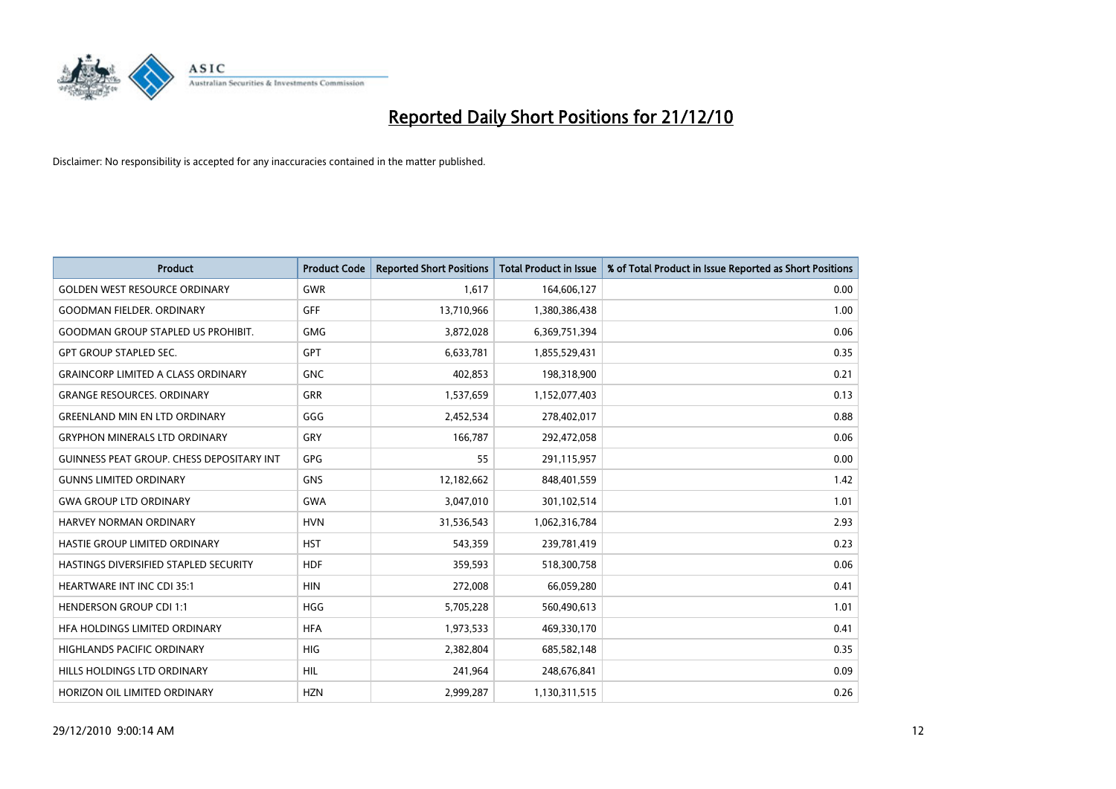

| <b>Product</b>                            | <b>Product Code</b> | <b>Reported Short Positions</b> | <b>Total Product in Issue</b> | % of Total Product in Issue Reported as Short Positions |
|-------------------------------------------|---------------------|---------------------------------|-------------------------------|---------------------------------------------------------|
| <b>GOLDEN WEST RESOURCE ORDINARY</b>      | GWR                 | 1,617                           | 164,606,127                   | 0.00                                                    |
| <b>GOODMAN FIELDER. ORDINARY</b>          | GFF                 | 13,710,966                      | 1,380,386,438                 | 1.00                                                    |
| <b>GOODMAN GROUP STAPLED US PROHIBIT.</b> | <b>GMG</b>          | 3,872,028                       | 6,369,751,394                 | 0.06                                                    |
| <b>GPT GROUP STAPLED SEC.</b>             | GPT                 | 6,633,781                       | 1,855,529,431                 | 0.35                                                    |
| <b>GRAINCORP LIMITED A CLASS ORDINARY</b> | <b>GNC</b>          | 402,853                         | 198,318,900                   | 0.21                                                    |
| <b>GRANGE RESOURCES. ORDINARY</b>         | <b>GRR</b>          | 1,537,659                       | 1,152,077,403                 | 0.13                                                    |
| <b>GREENLAND MIN EN LTD ORDINARY</b>      | GGG                 | 2,452,534                       | 278,402,017                   | 0.88                                                    |
| <b>GRYPHON MINERALS LTD ORDINARY</b>      | GRY                 | 166,787                         | 292,472,058                   | 0.06                                                    |
| GUINNESS PEAT GROUP. CHESS DEPOSITARY INT | <b>GPG</b>          | 55                              | 291,115,957                   | 0.00                                                    |
| <b>GUNNS LIMITED ORDINARY</b>             | <b>GNS</b>          | 12,182,662                      | 848,401,559                   | 1.42                                                    |
| <b>GWA GROUP LTD ORDINARY</b>             | <b>GWA</b>          | 3,047,010                       | 301,102,514                   | 1.01                                                    |
| <b>HARVEY NORMAN ORDINARY</b>             | <b>HVN</b>          | 31,536,543                      | 1,062,316,784                 | 2.93                                                    |
| HASTIE GROUP LIMITED ORDINARY             | <b>HST</b>          | 543,359                         | 239,781,419                   | 0.23                                                    |
| HASTINGS DIVERSIFIED STAPLED SECURITY     | <b>HDF</b>          | 359,593                         | 518,300,758                   | 0.06                                                    |
| <b>HEARTWARE INT INC CDI 35:1</b>         | <b>HIN</b>          | 272,008                         | 66,059,280                    | 0.41                                                    |
| <b>HENDERSON GROUP CDI 1:1</b>            | <b>HGG</b>          | 5,705,228                       | 560,490,613                   | 1.01                                                    |
| HFA HOLDINGS LIMITED ORDINARY             | <b>HFA</b>          | 1,973,533                       | 469,330,170                   | 0.41                                                    |
| HIGHLANDS PACIFIC ORDINARY                | <b>HIG</b>          | 2,382,804                       | 685,582,148                   | 0.35                                                    |
| HILLS HOLDINGS LTD ORDINARY               | <b>HIL</b>          | 241,964                         | 248,676,841                   | 0.09                                                    |
| HORIZON OIL LIMITED ORDINARY              | <b>HZN</b>          | 2,999,287                       | 1,130,311,515                 | 0.26                                                    |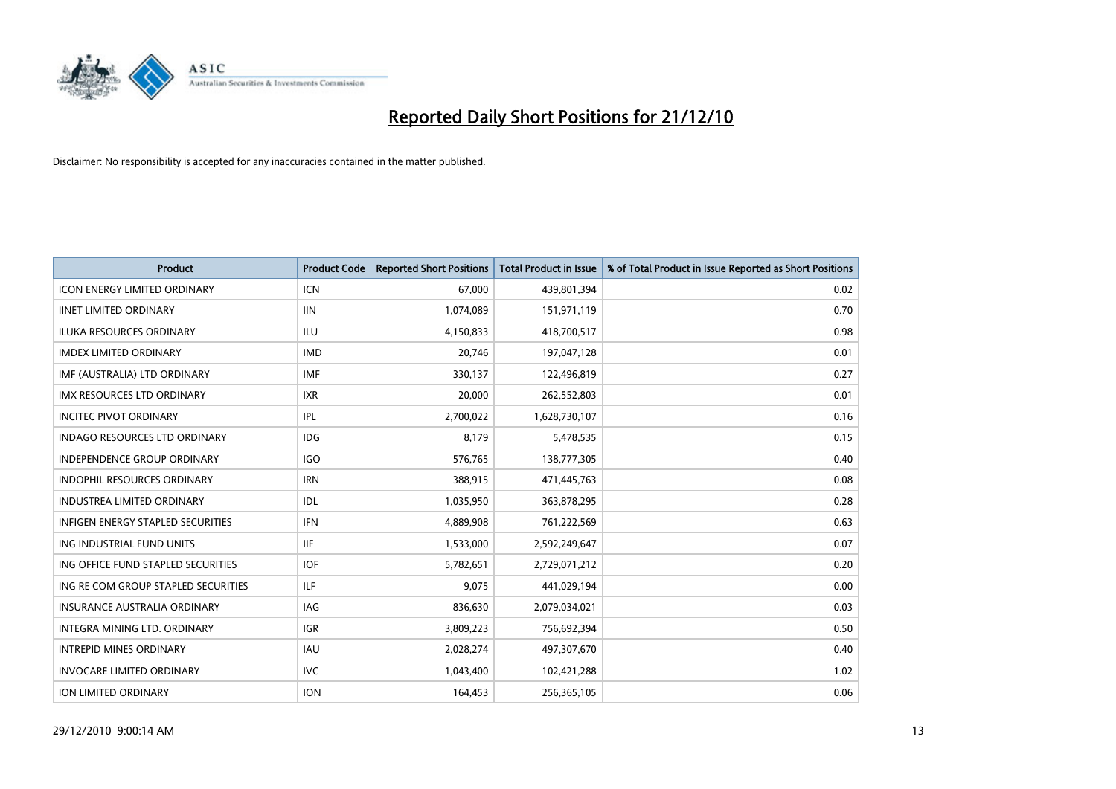

| Product                                  | <b>Product Code</b> | <b>Reported Short Positions</b> | <b>Total Product in Issue</b> | % of Total Product in Issue Reported as Short Positions |
|------------------------------------------|---------------------|---------------------------------|-------------------------------|---------------------------------------------------------|
| <b>ICON ENERGY LIMITED ORDINARY</b>      | <b>ICN</b>          | 67,000                          | 439,801,394                   | 0.02                                                    |
| <b>IINET LIMITED ORDINARY</b>            | <b>IIN</b>          | 1,074,089                       | 151,971,119                   | 0.70                                                    |
| <b>ILUKA RESOURCES ORDINARY</b>          | ILU.                | 4,150,833                       | 418,700,517                   | 0.98                                                    |
| <b>IMDEX LIMITED ORDINARY</b>            | <b>IMD</b>          | 20,746                          | 197,047,128                   | 0.01                                                    |
| IMF (AUSTRALIA) LTD ORDINARY             | <b>IMF</b>          | 330,137                         | 122,496,819                   | 0.27                                                    |
| <b>IMX RESOURCES LTD ORDINARY</b>        | <b>IXR</b>          | 20,000                          | 262,552,803                   | 0.01                                                    |
| <b>INCITEC PIVOT ORDINARY</b>            | IPL                 | 2,700,022                       | 1,628,730,107                 | 0.16                                                    |
| <b>INDAGO RESOURCES LTD ORDINARY</b>     | IDG.                | 8,179                           | 5,478,535                     | 0.15                                                    |
| INDEPENDENCE GROUP ORDINARY              | <b>IGO</b>          | 576,765                         | 138,777,305                   | 0.40                                                    |
| <b>INDOPHIL RESOURCES ORDINARY</b>       | <b>IRN</b>          | 388,915                         | 471,445,763                   | 0.08                                                    |
| INDUSTREA LIMITED ORDINARY               | IDL                 | 1,035,950                       | 363,878,295                   | 0.28                                                    |
| <b>INFIGEN ENERGY STAPLED SECURITIES</b> | <b>IFN</b>          | 4,889,908                       | 761,222,569                   | 0.63                                                    |
| ING INDUSTRIAL FUND UNITS                | <b>IIF</b>          | 1,533,000                       | 2,592,249,647                 | 0.07                                                    |
| ING OFFICE FUND STAPLED SECURITIES       | <b>IOF</b>          | 5,782,651                       | 2,729,071,212                 | 0.20                                                    |
| ING RE COM GROUP STAPLED SECURITIES      | ILF.                | 9,075                           | 441,029,194                   | 0.00                                                    |
| <b>INSURANCE AUSTRALIA ORDINARY</b>      | IAG                 | 836,630                         | 2,079,034,021                 | 0.03                                                    |
| <b>INTEGRA MINING LTD, ORDINARY</b>      | <b>IGR</b>          | 3,809,223                       | 756,692,394                   | 0.50                                                    |
| <b>INTREPID MINES ORDINARY</b>           | IAU                 | 2,028,274                       | 497,307,670                   | 0.40                                                    |
| <b>INVOCARE LIMITED ORDINARY</b>         | <b>IVC</b>          | 1,043,400                       | 102,421,288                   | 1.02                                                    |
| <b>ION LIMITED ORDINARY</b>              | <b>ION</b>          | 164,453                         | 256,365,105                   | 0.06                                                    |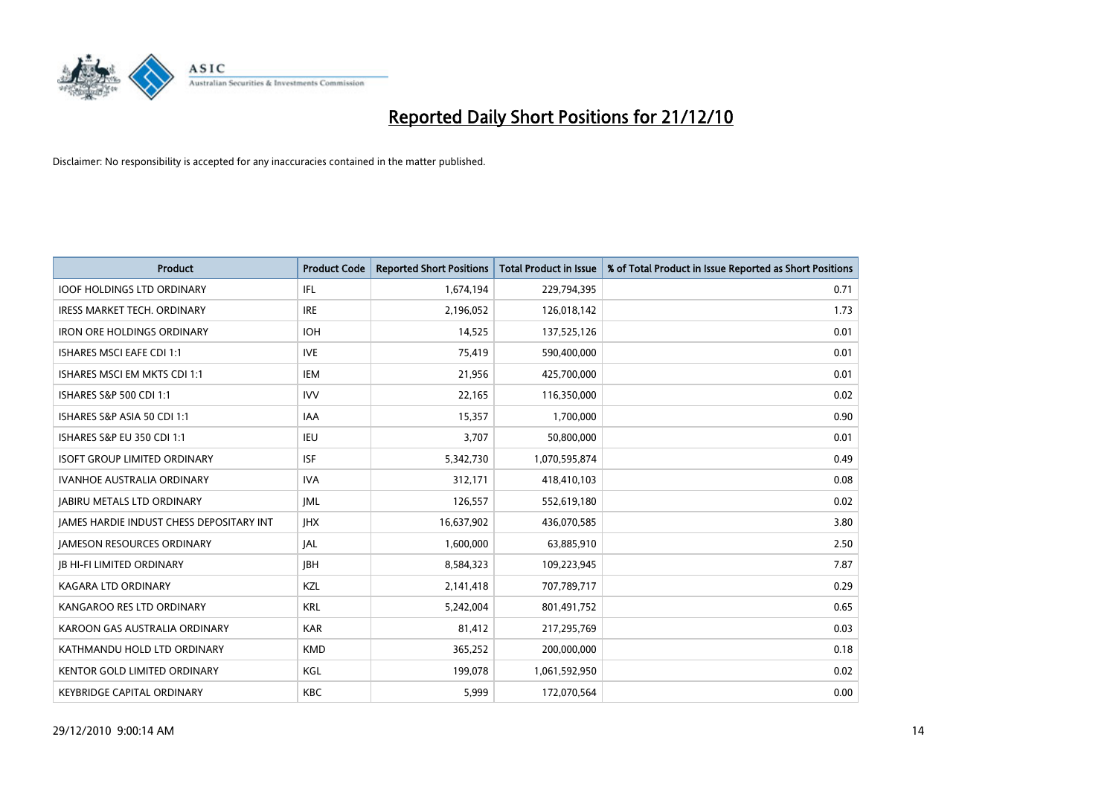

| Product                                  | <b>Product Code</b> | <b>Reported Short Positions</b> | <b>Total Product in Issue</b> | % of Total Product in Issue Reported as Short Positions |
|------------------------------------------|---------------------|---------------------------------|-------------------------------|---------------------------------------------------------|
| <b>IOOF HOLDINGS LTD ORDINARY</b>        | IFL                 | 1,674,194                       | 229,794,395                   | 0.71                                                    |
| IRESS MARKET TECH. ORDINARY              | <b>IRE</b>          | 2,196,052                       | 126,018,142                   | 1.73                                                    |
| <b>IRON ORE HOLDINGS ORDINARY</b>        | <b>IOH</b>          | 14,525                          | 137,525,126                   | 0.01                                                    |
| ISHARES MSCI EAFE CDI 1:1                | <b>IVE</b>          | 75,419                          | 590,400,000                   | 0.01                                                    |
| ISHARES MSCI EM MKTS CDI 1:1             | IEM                 | 21,956                          | 425,700,000                   | 0.01                                                    |
| ISHARES S&P 500 CDI 1:1                  | <b>IVV</b>          | 22,165                          | 116,350,000                   | 0.02                                                    |
| ISHARES S&P ASIA 50 CDI 1:1              | IAA                 | 15,357                          | 1,700,000                     | 0.90                                                    |
| ISHARES S&P EU 350 CDI 1:1               | <b>IEU</b>          | 3,707                           | 50,800,000                    | 0.01                                                    |
| <b>ISOFT GROUP LIMITED ORDINARY</b>      | <b>ISF</b>          | 5,342,730                       | 1,070,595,874                 | 0.49                                                    |
| <b>IVANHOE AUSTRALIA ORDINARY</b>        | <b>IVA</b>          | 312,171                         | 418,410,103                   | 0.08                                                    |
| <b>JABIRU METALS LTD ORDINARY</b>        | <b>JML</b>          | 126,557                         | 552,619,180                   | 0.02                                                    |
| JAMES HARDIE INDUST CHESS DEPOSITARY INT | <b>IHX</b>          | 16,637,902                      | 436,070,585                   | 3.80                                                    |
| <b>JAMESON RESOURCES ORDINARY</b>        | <b>JAL</b>          | 1,600,000                       | 63,885,910                    | 2.50                                                    |
| <b>JB HI-FI LIMITED ORDINARY</b>         | <b>IBH</b>          | 8,584,323                       | 109,223,945                   | 7.87                                                    |
| <b>KAGARA LTD ORDINARY</b>               | KZL                 | 2,141,418                       | 707,789,717                   | 0.29                                                    |
| KANGAROO RES LTD ORDINARY                | <b>KRL</b>          | 5,242,004                       | 801,491,752                   | 0.65                                                    |
| KAROON GAS AUSTRALIA ORDINARY            | <b>KAR</b>          | 81,412                          | 217,295,769                   | 0.03                                                    |
| KATHMANDU HOLD LTD ORDINARY              | <b>KMD</b>          | 365,252                         | 200,000,000                   | 0.18                                                    |
| <b>KENTOR GOLD LIMITED ORDINARY</b>      | KGL                 | 199,078                         | 1,061,592,950                 | 0.02                                                    |
| <b>KEYBRIDGE CAPITAL ORDINARY</b>        | <b>KBC</b>          | 5,999                           | 172,070,564                   | 0.00                                                    |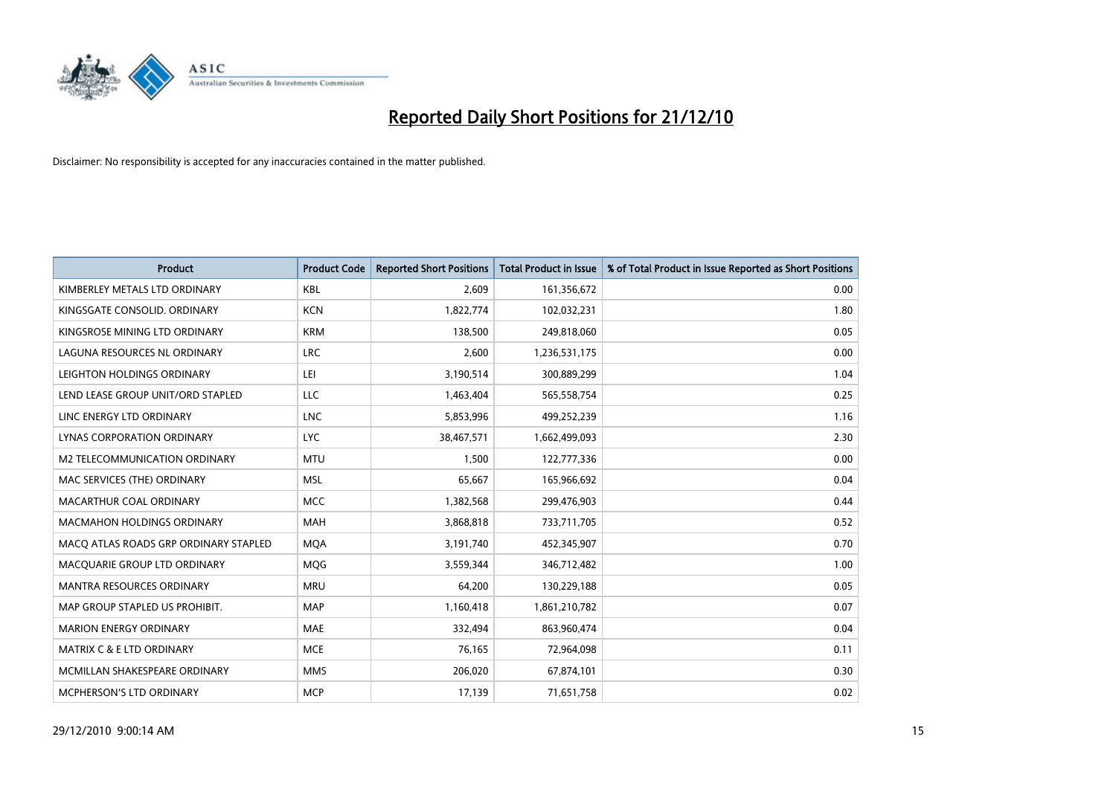

| Product                               | <b>Product Code</b> | <b>Reported Short Positions</b> | Total Product in Issue | % of Total Product in Issue Reported as Short Positions |
|---------------------------------------|---------------------|---------------------------------|------------------------|---------------------------------------------------------|
| KIMBERLEY METALS LTD ORDINARY         | <b>KBL</b>          | 2,609                           | 161,356,672            | 0.00                                                    |
| KINGSGATE CONSOLID. ORDINARY          | <b>KCN</b>          | 1,822,774                       | 102,032,231            | 1.80                                                    |
| KINGSROSE MINING LTD ORDINARY         | <b>KRM</b>          | 138,500                         | 249,818,060            | 0.05                                                    |
| LAGUNA RESOURCES NL ORDINARY          | <b>LRC</b>          | 2,600                           | 1,236,531,175          | 0.00                                                    |
| LEIGHTON HOLDINGS ORDINARY            | LEI                 | 3,190,514                       | 300,889,299            | 1.04                                                    |
| LEND LEASE GROUP UNIT/ORD STAPLED     | <b>LLC</b>          | 1,463,404                       | 565,558,754            | 0.25                                                    |
| LINC ENERGY LTD ORDINARY              | <b>LNC</b>          | 5,853,996                       | 499,252,239            | 1.16                                                    |
| LYNAS CORPORATION ORDINARY            | LYC.                | 38,467,571                      | 1,662,499,093          | 2.30                                                    |
| M2 TELECOMMUNICATION ORDINARY         | <b>MTU</b>          | 1,500                           | 122,777,336            | 0.00                                                    |
| MAC SERVICES (THE) ORDINARY           | <b>MSL</b>          | 65,667                          | 165,966,692            | 0.04                                                    |
| MACARTHUR COAL ORDINARY               | <b>MCC</b>          | 1,382,568                       | 299,476,903            | 0.44                                                    |
| <b>MACMAHON HOLDINGS ORDINARY</b>     | MAH                 | 3,868,818                       | 733,711,705            | 0.52                                                    |
| MACO ATLAS ROADS GRP ORDINARY STAPLED | <b>MQA</b>          | 3,191,740                       | 452,345,907            | 0.70                                                    |
| MACQUARIE GROUP LTD ORDINARY          | <b>MOG</b>          | 3,559,344                       | 346,712,482            | 1.00                                                    |
| <b>MANTRA RESOURCES ORDINARY</b>      | <b>MRU</b>          | 64,200                          | 130,229,188            | 0.05                                                    |
| MAP GROUP STAPLED US PROHIBIT.        | <b>MAP</b>          | 1,160,418                       | 1,861,210,782          | 0.07                                                    |
| <b>MARION ENERGY ORDINARY</b>         | <b>MAE</b>          | 332,494                         | 863,960,474            | 0.04                                                    |
| MATRIX C & E LTD ORDINARY             | <b>MCE</b>          | 76,165                          | 72,964,098             | 0.11                                                    |
| MCMILLAN SHAKESPEARE ORDINARY         | <b>MMS</b>          | 206,020                         | 67,874,101             | 0.30                                                    |
| MCPHERSON'S LTD ORDINARY              | <b>MCP</b>          | 17,139                          | 71,651,758             | 0.02                                                    |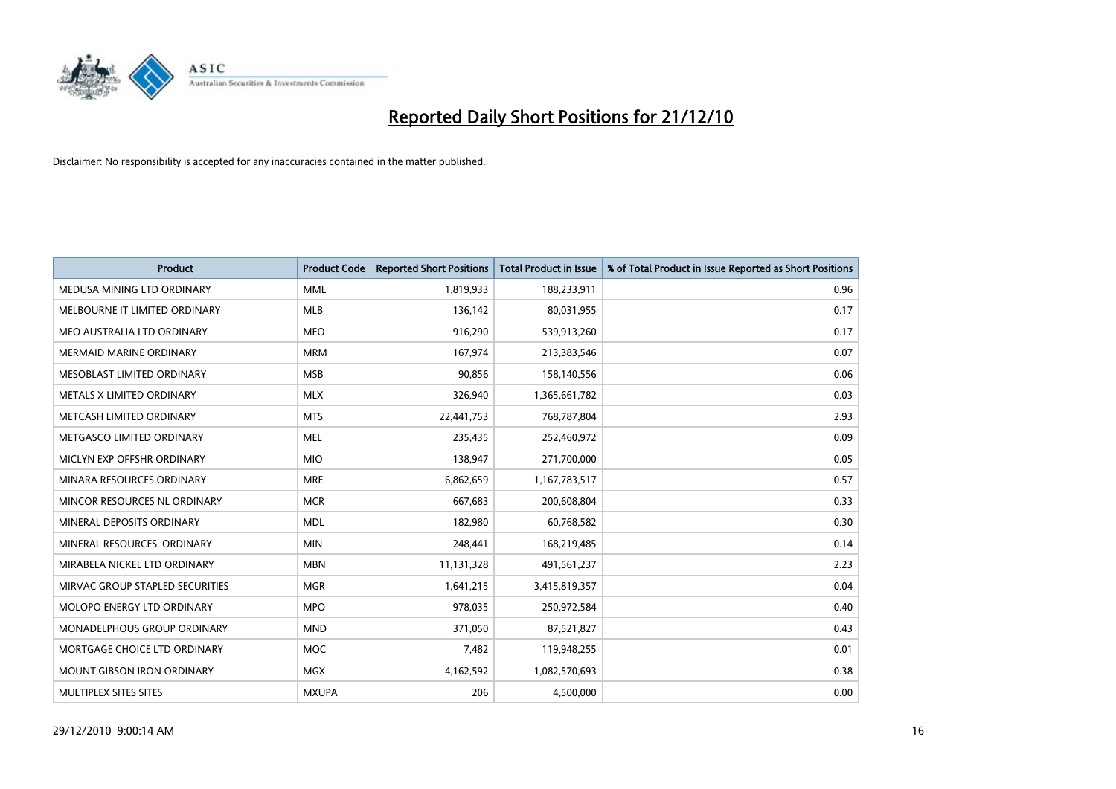

| Product                           | <b>Product Code</b> | <b>Reported Short Positions</b> | <b>Total Product in Issue</b> | % of Total Product in Issue Reported as Short Positions |
|-----------------------------------|---------------------|---------------------------------|-------------------------------|---------------------------------------------------------|
| MEDUSA MINING LTD ORDINARY        | <b>MML</b>          | 1,819,933                       | 188,233,911                   | 0.96                                                    |
| MELBOURNE IT LIMITED ORDINARY     | <b>MLB</b>          | 136,142                         | 80,031,955                    | 0.17                                                    |
| MEO AUSTRALIA LTD ORDINARY        | <b>MEO</b>          | 916,290                         | 539,913,260                   | 0.17                                                    |
| <b>MERMAID MARINE ORDINARY</b>    | <b>MRM</b>          | 167,974                         | 213,383,546                   | 0.07                                                    |
| MESOBLAST LIMITED ORDINARY        | <b>MSB</b>          | 90,856                          | 158,140,556                   | 0.06                                                    |
| METALS X LIMITED ORDINARY         | <b>MLX</b>          | 326,940                         | 1,365,661,782                 | 0.03                                                    |
| METCASH LIMITED ORDINARY          | <b>MTS</b>          | 22,441,753                      | 768,787,804                   | 2.93                                                    |
| METGASCO LIMITED ORDINARY         | <b>MEL</b>          | 235,435                         | 252,460,972                   | 0.09                                                    |
| MICLYN EXP OFFSHR ORDINARY        | <b>MIO</b>          | 138,947                         | 271,700,000                   | 0.05                                                    |
| MINARA RESOURCES ORDINARY         | <b>MRE</b>          | 6,862,659                       | 1,167,783,517                 | 0.57                                                    |
| MINCOR RESOURCES NL ORDINARY      | <b>MCR</b>          | 667,683                         | 200,608,804                   | 0.33                                                    |
| MINERAL DEPOSITS ORDINARY         | <b>MDL</b>          | 182,980                         | 60,768,582                    | 0.30                                                    |
| MINERAL RESOURCES. ORDINARY       | <b>MIN</b>          | 248,441                         | 168,219,485                   | 0.14                                                    |
| MIRABELA NICKEL LTD ORDINARY      | <b>MBN</b>          | 11,131,328                      | 491,561,237                   | 2.23                                                    |
| MIRVAC GROUP STAPLED SECURITIES   | <b>MGR</b>          | 1,641,215                       | 3,415,819,357                 | 0.04                                                    |
| MOLOPO ENERGY LTD ORDINARY        | <b>MPO</b>          | 978,035                         | 250,972,584                   | 0.40                                                    |
| MONADELPHOUS GROUP ORDINARY       | <b>MND</b>          | 371,050                         | 87,521,827                    | 0.43                                                    |
| MORTGAGE CHOICE LTD ORDINARY      | <b>MOC</b>          | 7,482                           | 119,948,255                   | 0.01                                                    |
| <b>MOUNT GIBSON IRON ORDINARY</b> | <b>MGX</b>          | 4,162,592                       | 1,082,570,693                 | 0.38                                                    |
| MULTIPLEX SITES SITES             | <b>MXUPA</b>        | 206                             | 4,500,000                     | 0.00                                                    |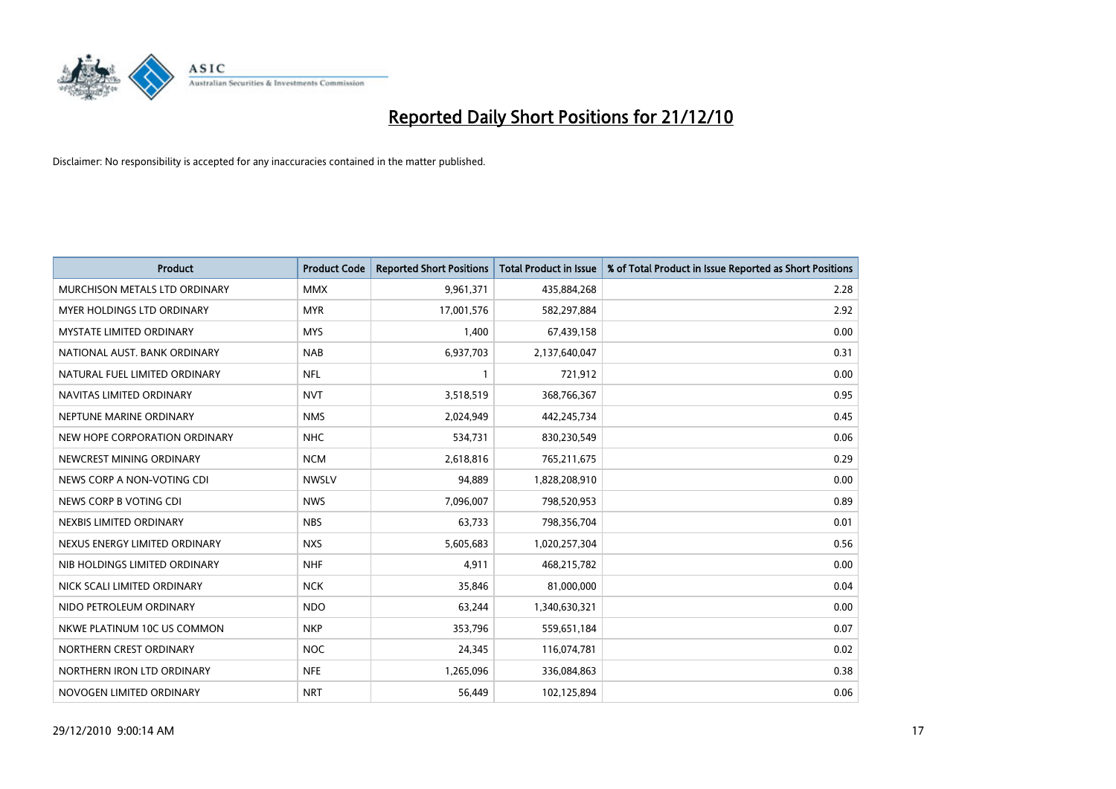

| Product                         | <b>Product Code</b> | <b>Reported Short Positions</b> | <b>Total Product in Issue</b> | % of Total Product in Issue Reported as Short Positions |
|---------------------------------|---------------------|---------------------------------|-------------------------------|---------------------------------------------------------|
| MURCHISON METALS LTD ORDINARY   | <b>MMX</b>          | 9,961,371                       | 435,884,268                   | 2.28                                                    |
| MYER HOLDINGS LTD ORDINARY      | <b>MYR</b>          | 17,001,576                      | 582,297,884                   | 2.92                                                    |
| <b>MYSTATE LIMITED ORDINARY</b> | <b>MYS</b>          | 1,400                           | 67,439,158                    | 0.00                                                    |
| NATIONAL AUST, BANK ORDINARY    | <b>NAB</b>          | 6,937,703                       | 2,137,640,047                 | 0.31                                                    |
| NATURAL FUEL LIMITED ORDINARY   | <b>NFL</b>          | 1                               | 721,912                       | 0.00                                                    |
| NAVITAS LIMITED ORDINARY        | <b>NVT</b>          | 3,518,519                       | 368,766,367                   | 0.95                                                    |
| NEPTUNE MARINE ORDINARY         | <b>NMS</b>          | 2,024,949                       | 442,245,734                   | 0.45                                                    |
| NEW HOPE CORPORATION ORDINARY   | <b>NHC</b>          | 534,731                         | 830,230,549                   | 0.06                                                    |
| NEWCREST MINING ORDINARY        | <b>NCM</b>          | 2,618,816                       | 765,211,675                   | 0.29                                                    |
| NEWS CORP A NON-VOTING CDI      | <b>NWSLV</b>        | 94,889                          | 1,828,208,910                 | 0.00                                                    |
| NEWS CORP B VOTING CDI          | <b>NWS</b>          | 7,096,007                       | 798,520,953                   | 0.89                                                    |
| NEXBIS LIMITED ORDINARY         | <b>NBS</b>          | 63,733                          | 798,356,704                   | 0.01                                                    |
| NEXUS ENERGY LIMITED ORDINARY   | <b>NXS</b>          | 5,605,683                       | 1,020,257,304                 | 0.56                                                    |
| NIB HOLDINGS LIMITED ORDINARY   | <b>NHF</b>          | 4,911                           | 468,215,782                   | 0.00                                                    |
| NICK SCALI LIMITED ORDINARY     | <b>NCK</b>          | 35,846                          | 81,000,000                    | 0.04                                                    |
| NIDO PETROLEUM ORDINARY         | <b>NDO</b>          | 63,244                          | 1,340,630,321                 | 0.00                                                    |
| NKWE PLATINUM 10C US COMMON     | <b>NKP</b>          | 353,796                         | 559,651,184                   | 0.07                                                    |
| NORTHERN CREST ORDINARY         | <b>NOC</b>          | 24,345                          | 116,074,781                   | 0.02                                                    |
| NORTHERN IRON LTD ORDINARY      | <b>NFE</b>          | 1,265,096                       | 336,084,863                   | 0.38                                                    |
| NOVOGEN LIMITED ORDINARY        | <b>NRT</b>          | 56,449                          | 102,125,894                   | 0.06                                                    |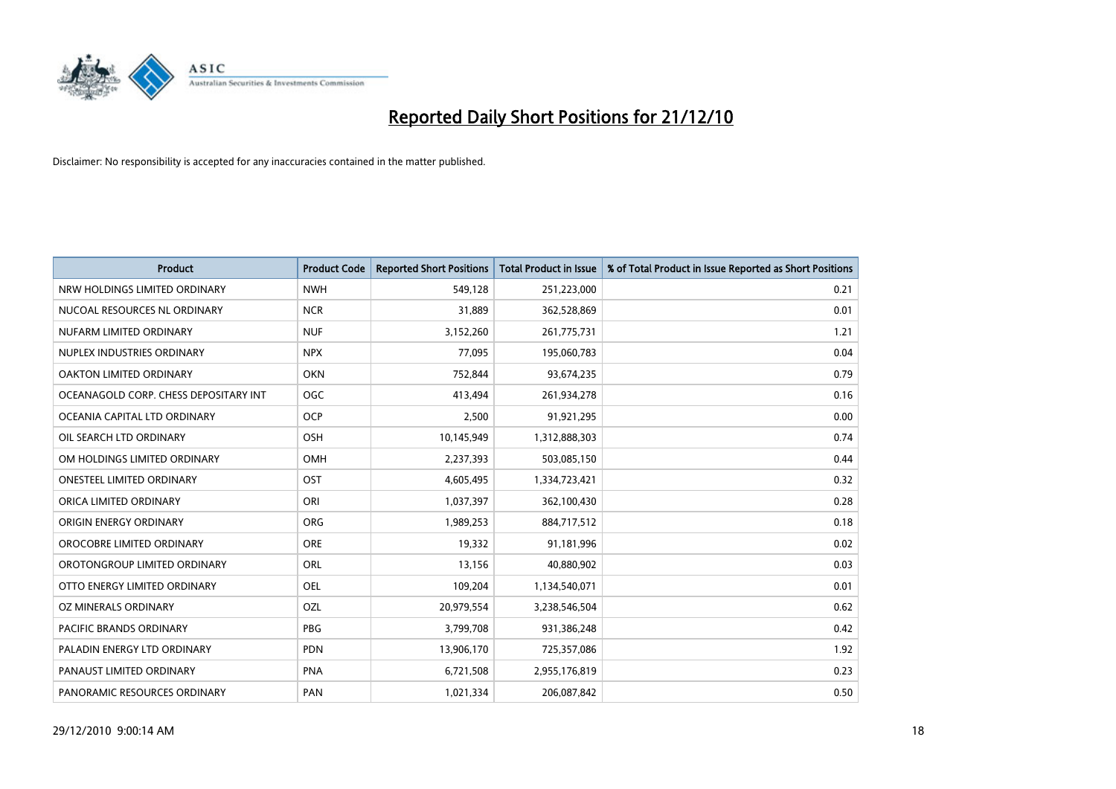

| <b>Product</b>                        | <b>Product Code</b> | <b>Reported Short Positions</b> | <b>Total Product in Issue</b> | % of Total Product in Issue Reported as Short Positions |
|---------------------------------------|---------------------|---------------------------------|-------------------------------|---------------------------------------------------------|
| NRW HOLDINGS LIMITED ORDINARY         | <b>NWH</b>          | 549,128                         | 251,223,000                   | 0.21                                                    |
| NUCOAL RESOURCES NL ORDINARY          | <b>NCR</b>          | 31,889                          | 362,528,869                   | 0.01                                                    |
| NUFARM LIMITED ORDINARY               | <b>NUF</b>          | 3,152,260                       | 261,775,731                   | 1.21                                                    |
| NUPLEX INDUSTRIES ORDINARY            | <b>NPX</b>          | 77,095                          | 195,060,783                   | 0.04                                                    |
| <b>OAKTON LIMITED ORDINARY</b>        | <b>OKN</b>          | 752,844                         | 93,674,235                    | 0.79                                                    |
| OCEANAGOLD CORP. CHESS DEPOSITARY INT | OGC                 | 413,494                         | 261,934,278                   | 0.16                                                    |
| OCEANIA CAPITAL LTD ORDINARY          | <b>OCP</b>          | 2,500                           | 91,921,295                    | 0.00                                                    |
| OIL SEARCH LTD ORDINARY               | <b>OSH</b>          | 10,145,949                      | 1,312,888,303                 | 0.74                                                    |
| OM HOLDINGS LIMITED ORDINARY          | <b>OMH</b>          | 2,237,393                       | 503,085,150                   | 0.44                                                    |
| <b>ONESTEEL LIMITED ORDINARY</b>      | OST                 | 4,605,495                       | 1,334,723,421                 | 0.32                                                    |
| ORICA LIMITED ORDINARY                | ORI                 | 1,037,397                       | 362,100,430                   | 0.28                                                    |
| ORIGIN ENERGY ORDINARY                | <b>ORG</b>          | 1,989,253                       | 884,717,512                   | 0.18                                                    |
| OROCOBRE LIMITED ORDINARY             | <b>ORE</b>          | 19,332                          | 91,181,996                    | 0.02                                                    |
| OROTONGROUP LIMITED ORDINARY          | <b>ORL</b>          | 13,156                          | 40,880,902                    | 0.03                                                    |
| OTTO ENERGY LIMITED ORDINARY          | <b>OEL</b>          | 109,204                         | 1,134,540,071                 | 0.01                                                    |
| OZ MINERALS ORDINARY                  | OZL                 | 20,979,554                      | 3,238,546,504                 | 0.62                                                    |
| PACIFIC BRANDS ORDINARY               | <b>PBG</b>          | 3,799,708                       | 931,386,248                   | 0.42                                                    |
| PALADIN ENERGY LTD ORDINARY           | <b>PDN</b>          | 13,906,170                      | 725,357,086                   | 1.92                                                    |
| PANAUST LIMITED ORDINARY              | <b>PNA</b>          | 6,721,508                       | 2,955,176,819                 | 0.23                                                    |
| PANORAMIC RESOURCES ORDINARY          | PAN                 | 1,021,334                       | 206,087,842                   | 0.50                                                    |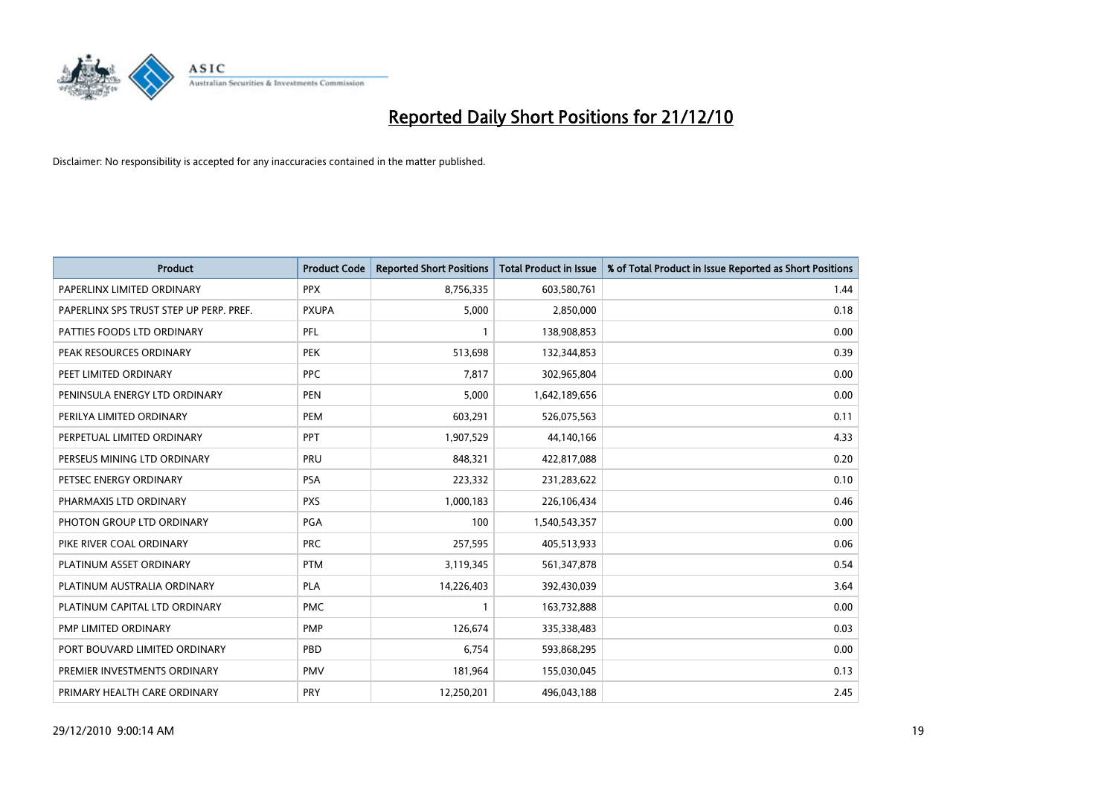

| <b>Product</b>                          | <b>Product Code</b> | <b>Reported Short Positions</b> | <b>Total Product in Issue</b> | % of Total Product in Issue Reported as Short Positions |
|-----------------------------------------|---------------------|---------------------------------|-------------------------------|---------------------------------------------------------|
| PAPERLINX LIMITED ORDINARY              | <b>PPX</b>          | 8,756,335                       | 603,580,761                   | 1.44                                                    |
| PAPERLINX SPS TRUST STEP UP PERP. PREF. | <b>PXUPA</b>        | 5,000                           | 2,850,000                     | 0.18                                                    |
| PATTIES FOODS LTD ORDINARY              | PFL                 | 1                               | 138,908,853                   | 0.00                                                    |
| PEAK RESOURCES ORDINARY                 | <b>PEK</b>          | 513,698                         | 132,344,853                   | 0.39                                                    |
| PEET LIMITED ORDINARY                   | <b>PPC</b>          | 7,817                           | 302,965,804                   | 0.00                                                    |
| PENINSULA ENERGY LTD ORDINARY           | <b>PEN</b>          | 5,000                           | 1,642,189,656                 | 0.00                                                    |
| PERILYA LIMITED ORDINARY                | <b>PEM</b>          | 603,291                         | 526,075,563                   | 0.11                                                    |
| PERPETUAL LIMITED ORDINARY              | <b>PPT</b>          | 1,907,529                       | 44,140,166                    | 4.33                                                    |
| PERSEUS MINING LTD ORDINARY             | PRU                 | 848,321                         | 422,817,088                   | 0.20                                                    |
| PETSEC ENERGY ORDINARY                  | <b>PSA</b>          | 223,332                         | 231,283,622                   | 0.10                                                    |
| PHARMAXIS LTD ORDINARY                  | <b>PXS</b>          | 1,000,183                       | 226,106,434                   | 0.46                                                    |
| PHOTON GROUP LTD ORDINARY               | PGA                 | 100                             | 1,540,543,357                 | 0.00                                                    |
| PIKE RIVER COAL ORDINARY                | <b>PRC</b>          | 257,595                         | 405,513,933                   | 0.06                                                    |
| PLATINUM ASSET ORDINARY                 | <b>PTM</b>          | 3,119,345                       | 561,347,878                   | 0.54                                                    |
| PLATINUM AUSTRALIA ORDINARY             | <b>PLA</b>          | 14,226,403                      | 392,430,039                   | 3.64                                                    |
| PLATINUM CAPITAL LTD ORDINARY           | <b>PMC</b>          | $\mathbf{1}$                    | 163,732,888                   | 0.00                                                    |
| PMP LIMITED ORDINARY                    | <b>PMP</b>          | 126,674                         | 335,338,483                   | 0.03                                                    |
| PORT BOUVARD LIMITED ORDINARY           | PBD                 | 6,754                           | 593,868,295                   | 0.00                                                    |
| PREMIER INVESTMENTS ORDINARY            | <b>PMV</b>          | 181,964                         | 155,030,045                   | 0.13                                                    |
| PRIMARY HEALTH CARE ORDINARY            | <b>PRY</b>          | 12,250,201                      | 496,043,188                   | 2.45                                                    |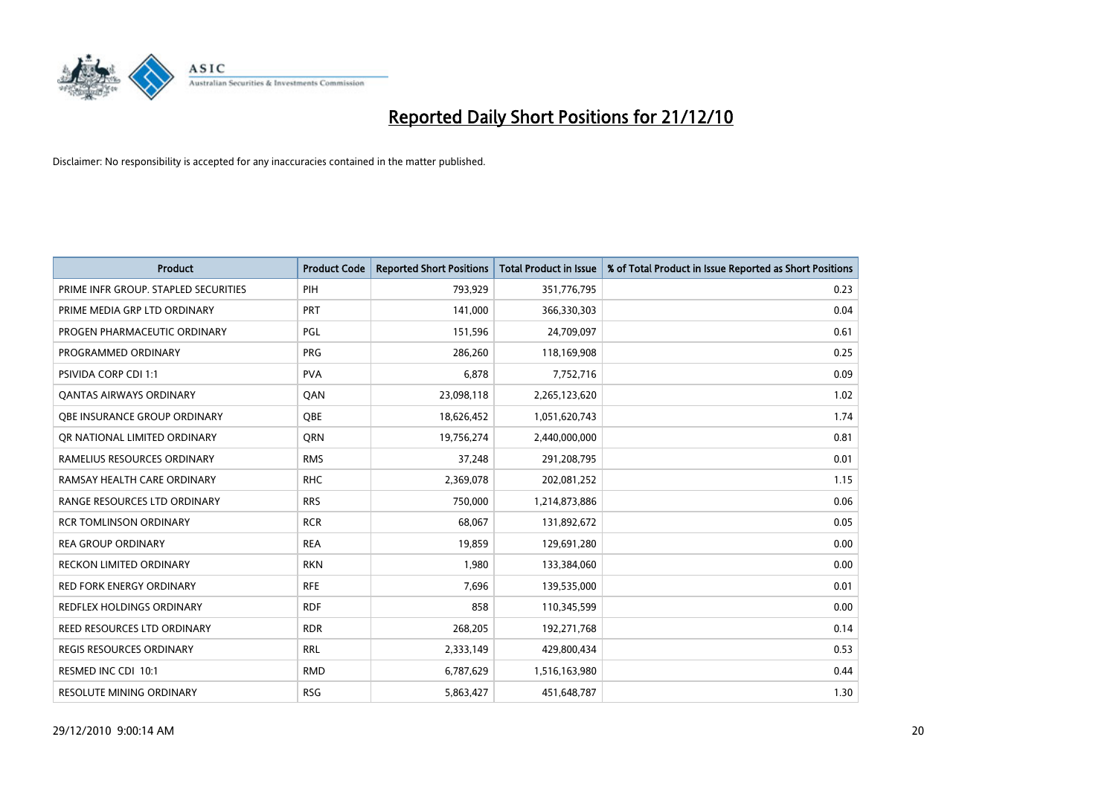

| Product                              | <b>Product Code</b> | <b>Reported Short Positions</b> | <b>Total Product in Issue</b> | % of Total Product in Issue Reported as Short Positions |
|--------------------------------------|---------------------|---------------------------------|-------------------------------|---------------------------------------------------------|
| PRIME INFR GROUP. STAPLED SECURITIES | PIH                 | 793,929                         | 351,776,795                   | 0.23                                                    |
| PRIME MEDIA GRP LTD ORDINARY         | <b>PRT</b>          | 141,000                         | 366,330,303                   | 0.04                                                    |
| PROGEN PHARMACEUTIC ORDINARY         | PGL                 | 151,596                         | 24,709,097                    | 0.61                                                    |
| PROGRAMMED ORDINARY                  | <b>PRG</b>          | 286,260                         | 118,169,908                   | 0.25                                                    |
| <b>PSIVIDA CORP CDI 1:1</b>          | <b>PVA</b>          | 6,878                           | 7,752,716                     | 0.09                                                    |
| <b>QANTAS AIRWAYS ORDINARY</b>       | QAN                 | 23,098,118                      | 2,265,123,620                 | 1.02                                                    |
| OBE INSURANCE GROUP ORDINARY         | <b>OBE</b>          | 18,626,452                      | 1,051,620,743                 | 1.74                                                    |
| OR NATIONAL LIMITED ORDINARY         | <b>ORN</b>          | 19,756,274                      | 2,440,000,000                 | 0.81                                                    |
| RAMELIUS RESOURCES ORDINARY          | <b>RMS</b>          | 37,248                          | 291,208,795                   | 0.01                                                    |
| RAMSAY HEALTH CARE ORDINARY          | <b>RHC</b>          | 2,369,078                       | 202,081,252                   | 1.15                                                    |
| RANGE RESOURCES LTD ORDINARY         | <b>RRS</b>          | 750,000                         | 1,214,873,886                 | 0.06                                                    |
| <b>RCR TOMLINSON ORDINARY</b>        | <b>RCR</b>          | 68,067                          | 131,892,672                   | 0.05                                                    |
| <b>REA GROUP ORDINARY</b>            | <b>REA</b>          | 19,859                          | 129,691,280                   | 0.00                                                    |
| <b>RECKON LIMITED ORDINARY</b>       | <b>RKN</b>          | 1,980                           | 133,384,060                   | 0.00                                                    |
| <b>RED FORK ENERGY ORDINARY</b>      | <b>RFE</b>          | 7,696                           | 139,535,000                   | 0.01                                                    |
| <b>REDFLEX HOLDINGS ORDINARY</b>     | <b>RDF</b>          | 858                             | 110,345,599                   | 0.00                                                    |
| REED RESOURCES LTD ORDINARY          | <b>RDR</b>          | 268,205                         | 192,271,768                   | 0.14                                                    |
| REGIS RESOURCES ORDINARY             | <b>RRL</b>          | 2,333,149                       | 429,800,434                   | 0.53                                                    |
| RESMED INC CDI 10:1                  | <b>RMD</b>          | 6,787,629                       | 1,516,163,980                 | 0.44                                                    |
| RESOLUTE MINING ORDINARY             | <b>RSG</b>          | 5,863,427                       | 451,648,787                   | 1.30                                                    |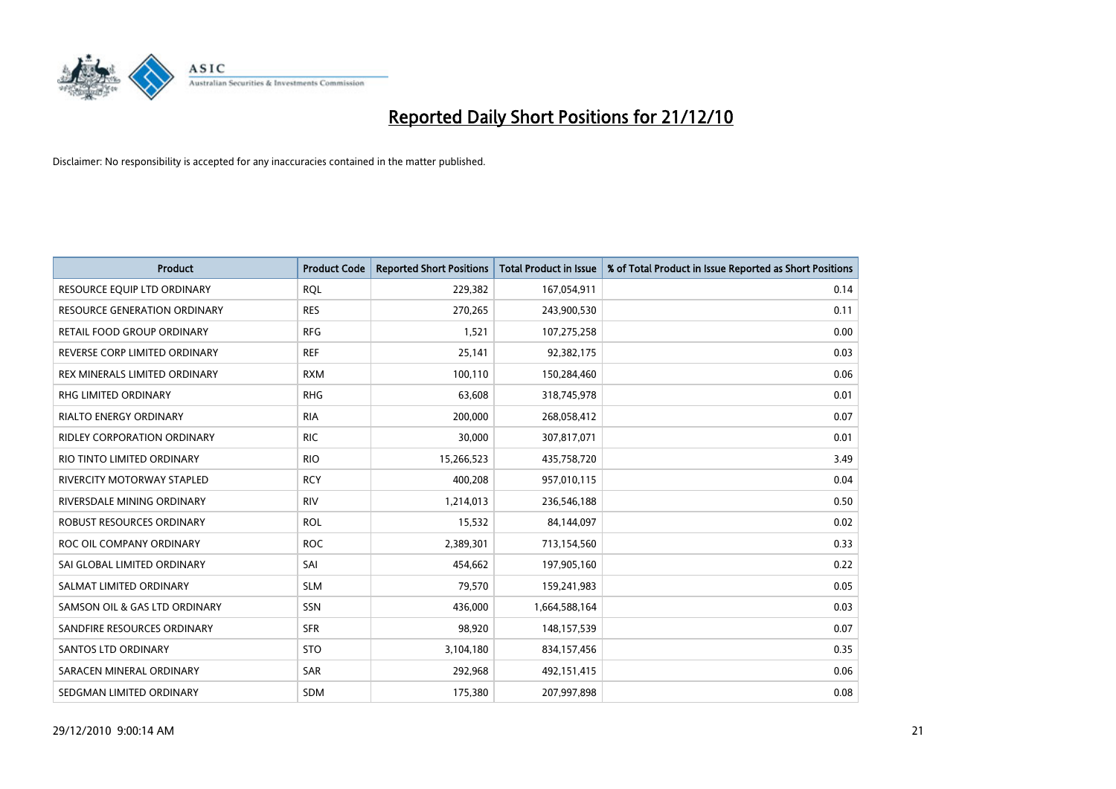

| <b>Product</b>                | <b>Product Code</b> | <b>Reported Short Positions</b> | <b>Total Product in Issue</b> | % of Total Product in Issue Reported as Short Positions |
|-------------------------------|---------------------|---------------------------------|-------------------------------|---------------------------------------------------------|
| RESOURCE EQUIP LTD ORDINARY   | <b>RQL</b>          | 229,382                         | 167,054,911                   | 0.14                                                    |
| RESOURCE GENERATION ORDINARY  | <b>RES</b>          | 270,265                         | 243,900,530                   | 0.11                                                    |
| RETAIL FOOD GROUP ORDINARY    | <b>RFG</b>          | 1,521                           | 107,275,258                   | 0.00                                                    |
| REVERSE CORP LIMITED ORDINARY | <b>REF</b>          | 25,141                          | 92,382,175                    | 0.03                                                    |
| REX MINERALS LIMITED ORDINARY | <b>RXM</b>          | 100,110                         | 150,284,460                   | 0.06                                                    |
| <b>RHG LIMITED ORDINARY</b>   | <b>RHG</b>          | 63,608                          | 318,745,978                   | 0.01                                                    |
| <b>RIALTO ENERGY ORDINARY</b> | <b>RIA</b>          | 200,000                         | 268,058,412                   | 0.07                                                    |
| RIDLEY CORPORATION ORDINARY   | <b>RIC</b>          | 30,000                          | 307,817,071                   | 0.01                                                    |
| RIO TINTO LIMITED ORDINARY    | <b>RIO</b>          | 15,266,523                      | 435,758,720                   | 3.49                                                    |
| RIVERCITY MOTORWAY STAPLED    | <b>RCY</b>          | 400,208                         | 957,010,115                   | 0.04                                                    |
| RIVERSDALE MINING ORDINARY    | <b>RIV</b>          | 1,214,013                       | 236,546,188                   | 0.50                                                    |
| ROBUST RESOURCES ORDINARY     | <b>ROL</b>          | 15,532                          | 84,144,097                    | 0.02                                                    |
| ROC OIL COMPANY ORDINARY      | <b>ROC</b>          | 2,389,301                       | 713,154,560                   | 0.33                                                    |
| SAI GLOBAL LIMITED ORDINARY   | SAI                 | 454,662                         | 197,905,160                   | 0.22                                                    |
| SALMAT LIMITED ORDINARY       | <b>SLM</b>          | 79,570                          | 159,241,983                   | 0.05                                                    |
| SAMSON OIL & GAS LTD ORDINARY | SSN                 | 436,000                         | 1,664,588,164                 | 0.03                                                    |
| SANDFIRE RESOURCES ORDINARY   | <b>SFR</b>          | 98,920                          | 148,157,539                   | 0.07                                                    |
| SANTOS LTD ORDINARY           | <b>STO</b>          | 3,104,180                       | 834,157,456                   | 0.35                                                    |
| SARACEN MINERAL ORDINARY      | <b>SAR</b>          | 292,968                         | 492,151,415                   | 0.06                                                    |
| SEDGMAN LIMITED ORDINARY      | <b>SDM</b>          | 175,380                         | 207,997,898                   | 0.08                                                    |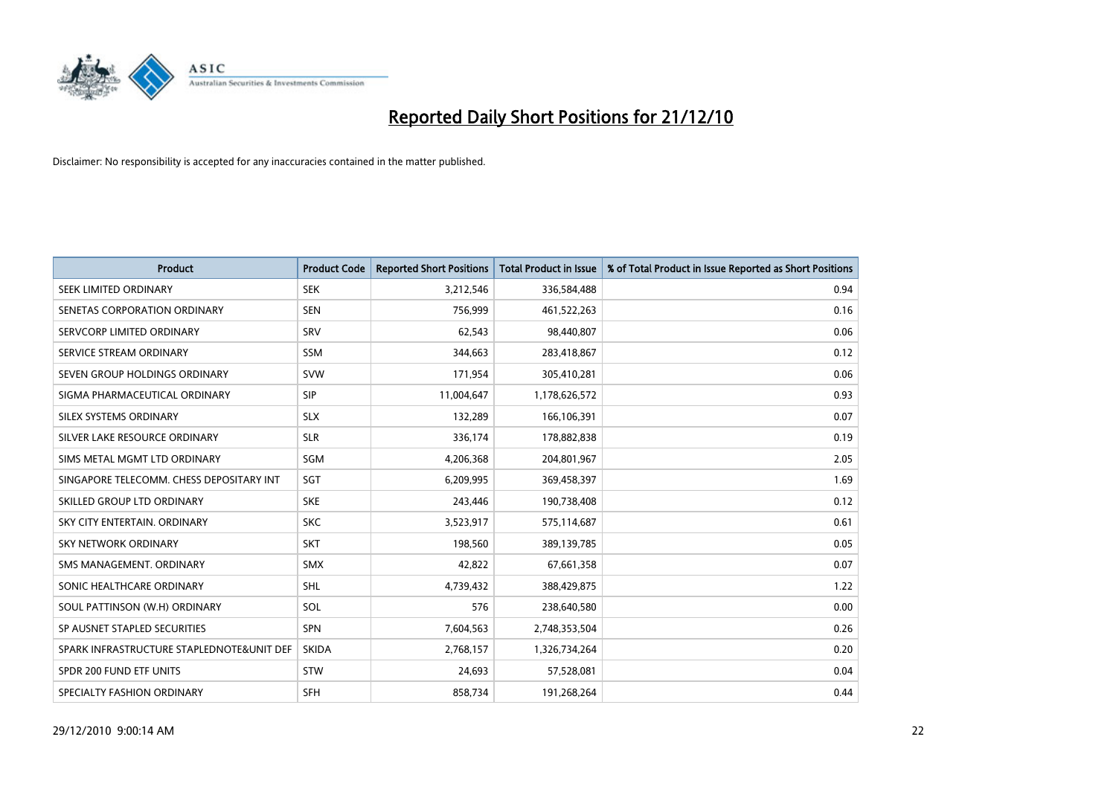

| <b>Product</b>                            | <b>Product Code</b> | <b>Reported Short Positions</b> | <b>Total Product in Issue</b> | % of Total Product in Issue Reported as Short Positions |
|-------------------------------------------|---------------------|---------------------------------|-------------------------------|---------------------------------------------------------|
| SEEK LIMITED ORDINARY                     | <b>SEK</b>          | 3,212,546                       | 336,584,488                   | 0.94                                                    |
| SENETAS CORPORATION ORDINARY              | <b>SEN</b>          | 756,999                         | 461,522,263                   | 0.16                                                    |
| SERVCORP LIMITED ORDINARY                 | SRV                 | 62,543                          | 98,440,807                    | 0.06                                                    |
| SERVICE STREAM ORDINARY                   | <b>SSM</b>          | 344,663                         | 283,418,867                   | 0.12                                                    |
| SEVEN GROUP HOLDINGS ORDINARY             | <b>SVW</b>          | 171,954                         | 305,410,281                   | 0.06                                                    |
| SIGMA PHARMACEUTICAL ORDINARY             | <b>SIP</b>          | 11,004,647                      | 1,178,626,572                 | 0.93                                                    |
| SILEX SYSTEMS ORDINARY                    | <b>SLX</b>          | 132,289                         | 166,106,391                   | 0.07                                                    |
| SILVER LAKE RESOURCE ORDINARY             | <b>SLR</b>          | 336,174                         | 178,882,838                   | 0.19                                                    |
| SIMS METAL MGMT LTD ORDINARY              | SGM                 | 4,206,368                       | 204,801,967                   | 2.05                                                    |
| SINGAPORE TELECOMM. CHESS DEPOSITARY INT  | SGT                 | 6,209,995                       | 369,458,397                   | 1.69                                                    |
| SKILLED GROUP LTD ORDINARY                | <b>SKE</b>          | 243,446                         | 190,738,408                   | 0.12                                                    |
| SKY CITY ENTERTAIN, ORDINARY              | <b>SKC</b>          | 3,523,917                       | 575,114,687                   | 0.61                                                    |
| <b>SKY NETWORK ORDINARY</b>               | <b>SKT</b>          | 198,560                         | 389,139,785                   | 0.05                                                    |
| SMS MANAGEMENT, ORDINARY                  | <b>SMX</b>          | 42,822                          | 67,661,358                    | 0.07                                                    |
| SONIC HEALTHCARE ORDINARY                 | <b>SHL</b>          | 4,739,432                       | 388,429,875                   | 1.22                                                    |
| SOUL PATTINSON (W.H) ORDINARY             | SOL                 | 576                             | 238,640,580                   | 0.00                                                    |
| SP AUSNET STAPLED SECURITIES              | SPN                 | 7,604,563                       | 2,748,353,504                 | 0.26                                                    |
| SPARK INFRASTRUCTURE STAPLEDNOTE&UNIT DEF | <b>SKIDA</b>        | 2,768,157                       | 1,326,734,264                 | 0.20                                                    |
| SPDR 200 FUND ETF UNITS                   | <b>STW</b>          | 24,693                          | 57,528,081                    | 0.04                                                    |
| SPECIALTY FASHION ORDINARY                | <b>SFH</b>          | 858,734                         | 191,268,264                   | 0.44                                                    |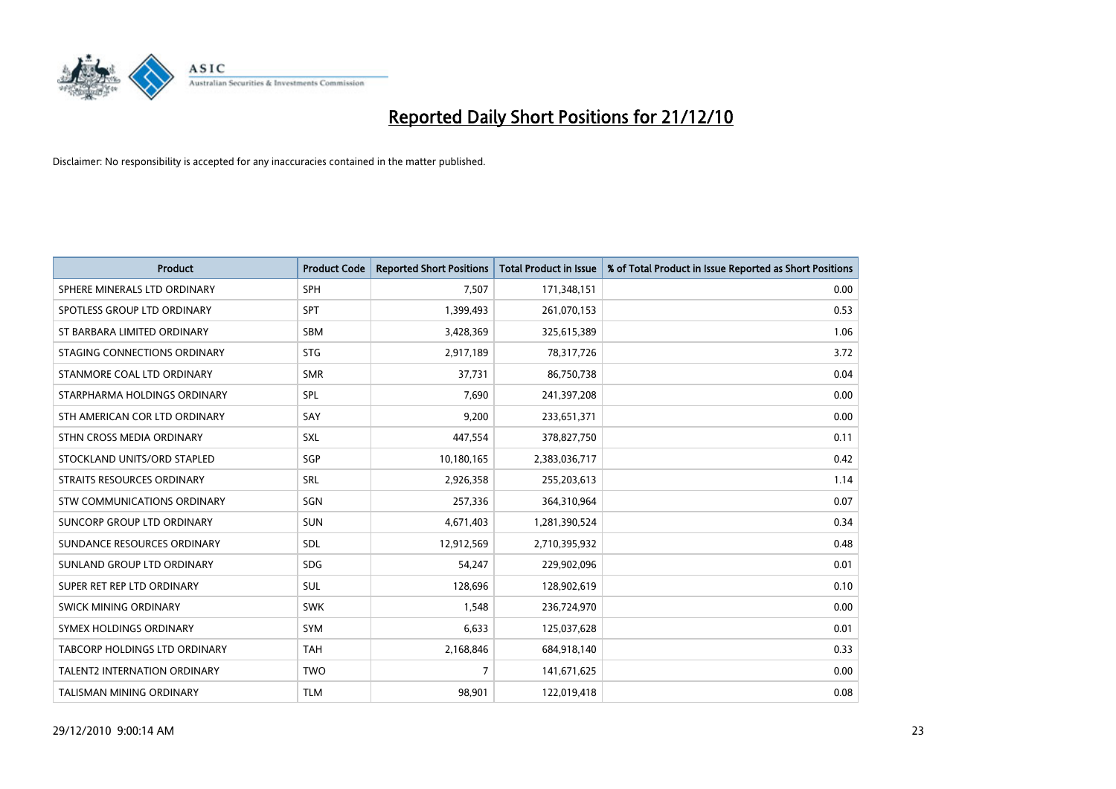

| <b>Product</b>                       | <b>Product Code</b> | <b>Reported Short Positions</b> | <b>Total Product in Issue</b> | % of Total Product in Issue Reported as Short Positions |
|--------------------------------------|---------------------|---------------------------------|-------------------------------|---------------------------------------------------------|
| SPHERE MINERALS LTD ORDINARY         | <b>SPH</b>          | 7,507                           | 171,348,151                   | 0.00                                                    |
| SPOTLESS GROUP LTD ORDINARY          | <b>SPT</b>          | 1,399,493                       | 261,070,153                   | 0.53                                                    |
| ST BARBARA LIMITED ORDINARY          | <b>SBM</b>          | 3,428,369                       | 325,615,389                   | 1.06                                                    |
| STAGING CONNECTIONS ORDINARY         | <b>STG</b>          | 2,917,189                       | 78,317,726                    | 3.72                                                    |
| STANMORE COAL LTD ORDINARY           | <b>SMR</b>          | 37,731                          | 86,750,738                    | 0.04                                                    |
| STARPHARMA HOLDINGS ORDINARY         | SPL                 | 7,690                           | 241,397,208                   | 0.00                                                    |
| STH AMERICAN COR LTD ORDINARY        | SAY                 | 9,200                           | 233,651,371                   | 0.00                                                    |
| STHN CROSS MEDIA ORDINARY            | <b>SXL</b>          | 447,554                         | 378,827,750                   | 0.11                                                    |
| STOCKLAND UNITS/ORD STAPLED          | SGP                 | 10,180,165                      | 2,383,036,717                 | 0.42                                                    |
| <b>STRAITS RESOURCES ORDINARY</b>    | SRL                 | 2,926,358                       | 255,203,613                   | 1.14                                                    |
| STW COMMUNICATIONS ORDINARY          | SGN                 | 257,336                         | 364,310,964                   | 0.07                                                    |
| SUNCORP GROUP LTD ORDINARY           | <b>SUN</b>          | 4,671,403                       | 1,281,390,524                 | 0.34                                                    |
| SUNDANCE RESOURCES ORDINARY          | <b>SDL</b>          | 12,912,569                      | 2,710,395,932                 | 0.48                                                    |
| SUNLAND GROUP LTD ORDINARY           | <b>SDG</b>          | 54,247                          | 229,902,096                   | 0.01                                                    |
| SUPER RET REP LTD ORDINARY           | <b>SUL</b>          | 128,696                         | 128,902,619                   | 0.10                                                    |
| SWICK MINING ORDINARY                | <b>SWK</b>          | 1,548                           | 236,724,970                   | 0.00                                                    |
| SYMEX HOLDINGS ORDINARY              | SYM                 | 6,633                           | 125,037,628                   | 0.01                                                    |
| <b>TABCORP HOLDINGS LTD ORDINARY</b> | <b>TAH</b>          | 2,168,846                       | 684,918,140                   | 0.33                                                    |
| <b>TALENT2 INTERNATION ORDINARY</b>  | <b>TWO</b>          | 7                               | 141,671,625                   | 0.00                                                    |
| TALISMAN MINING ORDINARY             | <b>TLM</b>          | 98,901                          | 122,019,418                   | 0.08                                                    |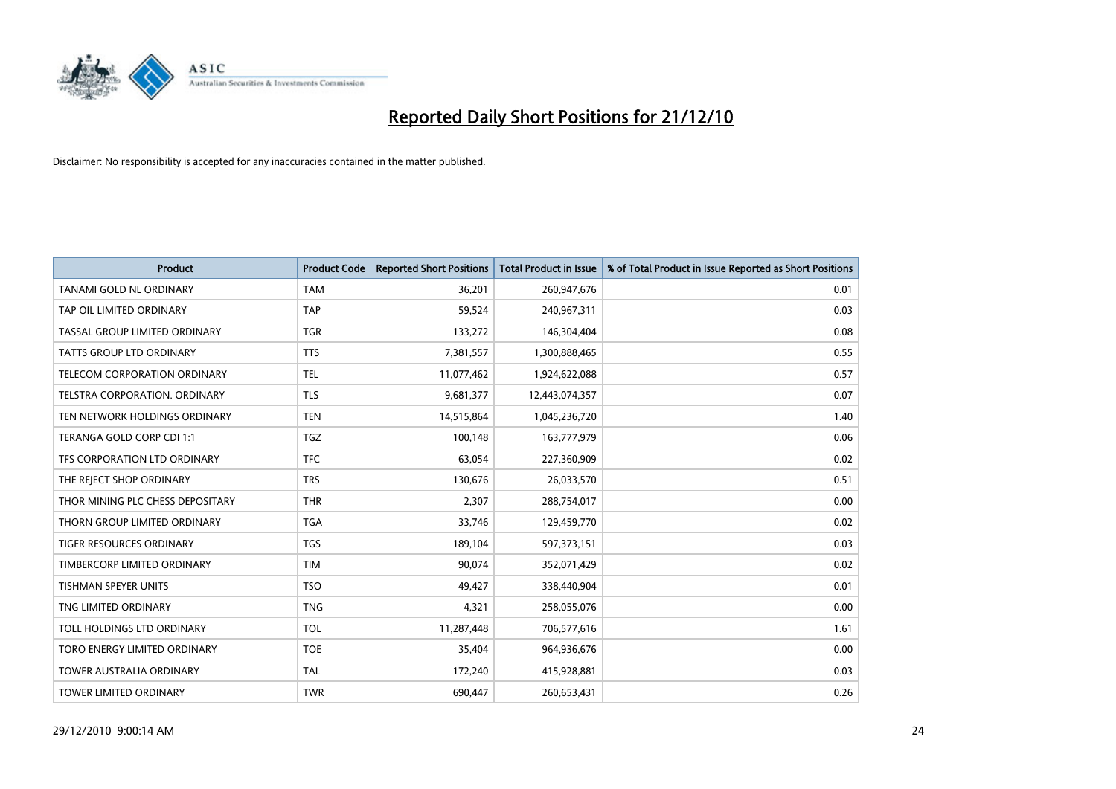

| <b>Product</b>                   | <b>Product Code</b> | <b>Reported Short Positions</b> | <b>Total Product in Issue</b> | % of Total Product in Issue Reported as Short Positions |
|----------------------------------|---------------------|---------------------------------|-------------------------------|---------------------------------------------------------|
| TANAMI GOLD NL ORDINARY          | <b>TAM</b>          | 36,201                          | 260,947,676                   | 0.01                                                    |
| TAP OIL LIMITED ORDINARY         | <b>TAP</b>          | 59,524                          | 240,967,311                   | 0.03                                                    |
| TASSAL GROUP LIMITED ORDINARY    | <b>TGR</b>          | 133,272                         | 146,304,404                   | 0.08                                                    |
| <b>TATTS GROUP LTD ORDINARY</b>  | <b>TTS</b>          | 7,381,557                       | 1,300,888,465                 | 0.55                                                    |
| TELECOM CORPORATION ORDINARY     | <b>TEL</b>          | 11,077,462                      | 1,924,622,088                 | 0.57                                                    |
| TELSTRA CORPORATION, ORDINARY    | <b>TLS</b>          | 9,681,377                       | 12,443,074,357                | 0.07                                                    |
| TEN NETWORK HOLDINGS ORDINARY    | <b>TEN</b>          | 14,515,864                      | 1,045,236,720                 | 1.40                                                    |
| TERANGA GOLD CORP CDI 1:1        | TGZ                 | 100,148                         | 163,777,979                   | 0.06                                                    |
| TFS CORPORATION LTD ORDINARY     | <b>TFC</b>          | 63,054                          | 227,360,909                   | 0.02                                                    |
| THE REJECT SHOP ORDINARY         | <b>TRS</b>          | 130,676                         | 26,033,570                    | 0.51                                                    |
| THOR MINING PLC CHESS DEPOSITARY | <b>THR</b>          | 2,307                           | 288,754,017                   | 0.00                                                    |
| THORN GROUP LIMITED ORDINARY     | <b>TGA</b>          | 33,746                          | 129,459,770                   | 0.02                                                    |
| <b>TIGER RESOURCES ORDINARY</b>  | <b>TGS</b>          | 189,104                         | 597,373,151                   | 0.03                                                    |
| TIMBERCORP LIMITED ORDINARY      | <b>TIM</b>          | 90,074                          | 352,071,429                   | 0.02                                                    |
| <b>TISHMAN SPEYER UNITS</b>      | <b>TSO</b>          | 49,427                          | 338,440,904                   | 0.01                                                    |
| TNG LIMITED ORDINARY             | <b>TNG</b>          | 4,321                           | 258,055,076                   | 0.00                                                    |
| TOLL HOLDINGS LTD ORDINARY       | TOL                 | 11,287,448                      | 706,577,616                   | 1.61                                                    |
| TORO ENERGY LIMITED ORDINARY     | <b>TOE</b>          | 35,404                          | 964,936,676                   | 0.00                                                    |
| <b>TOWER AUSTRALIA ORDINARY</b>  | <b>TAL</b>          | 172,240                         | 415,928,881                   | 0.03                                                    |
| <b>TOWER LIMITED ORDINARY</b>    | <b>TWR</b>          | 690,447                         | 260,653,431                   | 0.26                                                    |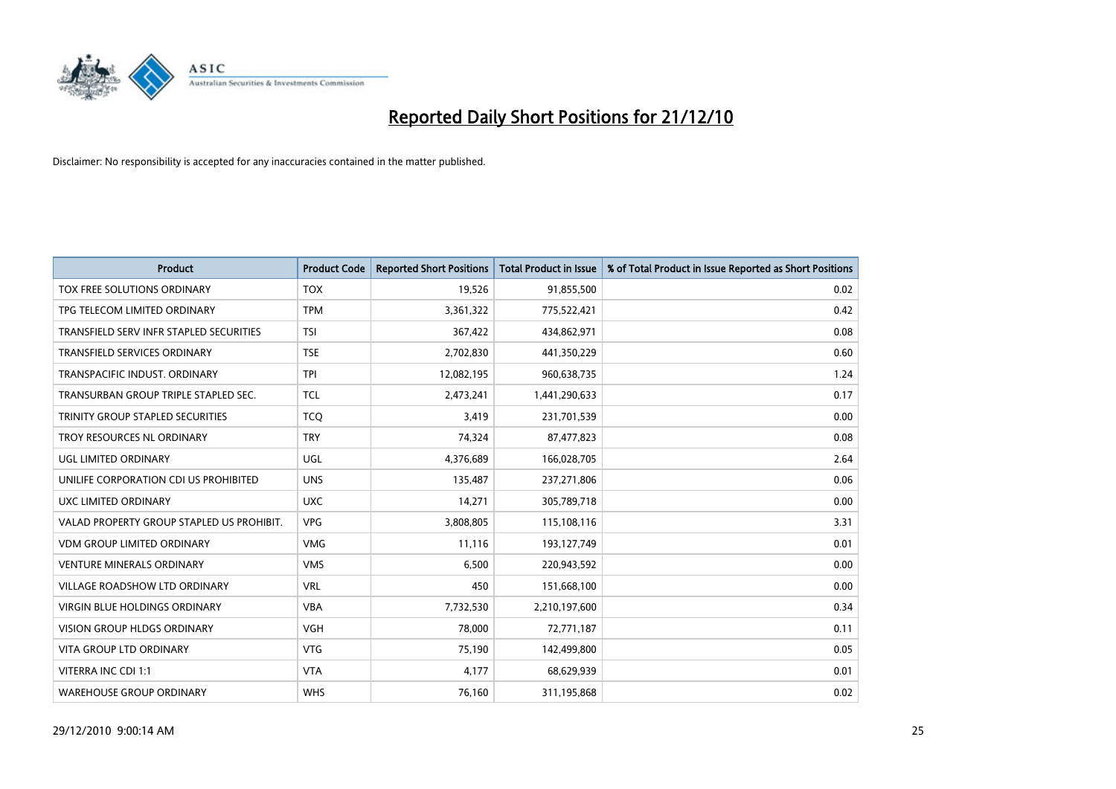

| <b>Product</b>                            | <b>Product Code</b> | <b>Reported Short Positions</b> | <b>Total Product in Issue</b> | % of Total Product in Issue Reported as Short Positions |
|-------------------------------------------|---------------------|---------------------------------|-------------------------------|---------------------------------------------------------|
| TOX FREE SOLUTIONS ORDINARY               | <b>TOX</b>          | 19,526                          | 91,855,500                    | 0.02                                                    |
| TPG TELECOM LIMITED ORDINARY              | <b>TPM</b>          | 3,361,322                       | 775,522,421                   | 0.42                                                    |
| TRANSFIELD SERV INFR STAPLED SECURITIES   | <b>TSI</b>          | 367,422                         | 434,862,971                   | 0.08                                                    |
| TRANSFIELD SERVICES ORDINARY              | <b>TSE</b>          | 2,702,830                       | 441,350,229                   | 0.60                                                    |
| TRANSPACIFIC INDUST, ORDINARY             | <b>TPI</b>          | 12,082,195                      | 960,638,735                   | 1.24                                                    |
| TRANSURBAN GROUP TRIPLE STAPLED SEC.      | <b>TCL</b>          | 2,473,241                       | 1,441,290,633                 | 0.17                                                    |
| TRINITY GROUP STAPLED SECURITIES          | <b>TCO</b>          | 3,419                           | 231,701,539                   | 0.00                                                    |
| TROY RESOURCES NL ORDINARY                | <b>TRY</b>          | 74,324                          | 87,477,823                    | 0.08                                                    |
| <b>UGL LIMITED ORDINARY</b>               | UGL                 | 4,376,689                       | 166,028,705                   | 2.64                                                    |
| UNILIFE CORPORATION CDI US PROHIBITED     | <b>UNS</b>          | 135,487                         | 237,271,806                   | 0.06                                                    |
| UXC LIMITED ORDINARY                      | <b>UXC</b>          | 14,271                          | 305,789,718                   | 0.00                                                    |
| VALAD PROPERTY GROUP STAPLED US PROHIBIT. | <b>VPG</b>          | 3,808,805                       | 115,108,116                   | 3.31                                                    |
| VDM GROUP LIMITED ORDINARY                | <b>VMG</b>          | 11,116                          | 193,127,749                   | 0.01                                                    |
| <b>VENTURE MINERALS ORDINARY</b>          | <b>VMS</b>          | 6,500                           | 220,943,592                   | 0.00                                                    |
| <b>VILLAGE ROADSHOW LTD ORDINARY</b>      | <b>VRL</b>          | 450                             | 151,668,100                   | 0.00                                                    |
| VIRGIN BLUE HOLDINGS ORDINARY             | <b>VBA</b>          | 7,732,530                       | 2,210,197,600                 | 0.34                                                    |
| VISION GROUP HLDGS ORDINARY               | <b>VGH</b>          | 78,000                          | 72,771,187                    | 0.11                                                    |
| <b>VITA GROUP LTD ORDINARY</b>            | <b>VTG</b>          | 75,190                          | 142,499,800                   | 0.05                                                    |
| VITERRA INC CDI 1:1                       | <b>VTA</b>          | 4,177                           | 68,629,939                    | 0.01                                                    |
| <b>WAREHOUSE GROUP ORDINARY</b>           | <b>WHS</b>          | 76,160                          | 311,195,868                   | 0.02                                                    |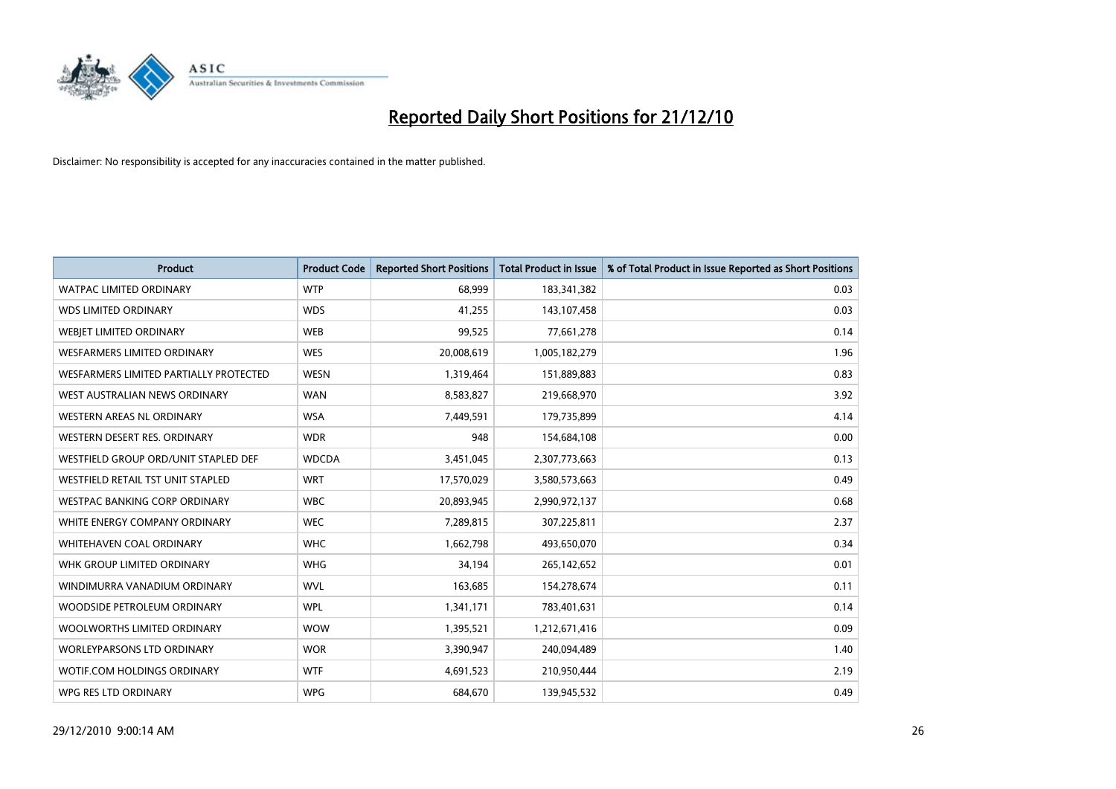

| <b>Product</b>                         | <b>Product Code</b> | <b>Reported Short Positions</b> | <b>Total Product in Issue</b> | % of Total Product in Issue Reported as Short Positions |
|----------------------------------------|---------------------|---------------------------------|-------------------------------|---------------------------------------------------------|
| <b>WATPAC LIMITED ORDINARY</b>         | <b>WTP</b>          | 68,999                          | 183,341,382                   | 0.03                                                    |
| <b>WDS LIMITED ORDINARY</b>            | <b>WDS</b>          | 41,255                          | 143,107,458                   | 0.03                                                    |
| <b>WEBIET LIMITED ORDINARY</b>         | <b>WEB</b>          | 99,525                          | 77,661,278                    | 0.14                                                    |
| <b>WESFARMERS LIMITED ORDINARY</b>     | <b>WES</b>          | 20,008,619                      | 1,005,182,279                 | 1.96                                                    |
| WESFARMERS LIMITED PARTIALLY PROTECTED | <b>WESN</b>         | 1,319,464                       | 151,889,883                   | 0.83                                                    |
| WEST AUSTRALIAN NEWS ORDINARY          | <b>WAN</b>          | 8,583,827                       | 219,668,970                   | 3.92                                                    |
| WESTERN AREAS NL ORDINARY              | <b>WSA</b>          | 7,449,591                       | 179,735,899                   | 4.14                                                    |
| WESTERN DESERT RES. ORDINARY           | <b>WDR</b>          | 948                             | 154,684,108                   | 0.00                                                    |
| WESTFIELD GROUP ORD/UNIT STAPLED DEF   | <b>WDCDA</b>        | 3,451,045                       | 2,307,773,663                 | 0.13                                                    |
| WESTFIELD RETAIL TST UNIT STAPLED      | <b>WRT</b>          | 17,570,029                      | 3,580,573,663                 | 0.49                                                    |
| WESTPAC BANKING CORP ORDINARY          | <b>WBC</b>          | 20,893,945                      | 2,990,972,137                 | 0.68                                                    |
| WHITE ENERGY COMPANY ORDINARY          | <b>WEC</b>          | 7,289,815                       | 307,225,811                   | 2.37                                                    |
| WHITEHAVEN COAL ORDINARY               | <b>WHC</b>          | 1,662,798                       | 493,650,070                   | 0.34                                                    |
| WHK GROUP LIMITED ORDINARY             | <b>WHG</b>          | 34,194                          | 265,142,652                   | 0.01                                                    |
| WINDIMURRA VANADIUM ORDINARY           | <b>WVL</b>          | 163,685                         | 154,278,674                   | 0.11                                                    |
| WOODSIDE PETROLEUM ORDINARY            | <b>WPL</b>          | 1,341,171                       | 783,401,631                   | 0.14                                                    |
| WOOLWORTHS LIMITED ORDINARY            | <b>WOW</b>          | 1,395,521                       | 1,212,671,416                 | 0.09                                                    |
| <b>WORLEYPARSONS LTD ORDINARY</b>      | <b>WOR</b>          | 3,390,947                       | 240,094,489                   | 1.40                                                    |
| WOTIF.COM HOLDINGS ORDINARY            | <b>WTF</b>          | 4,691,523                       | 210,950,444                   | 2.19                                                    |
| WPG RES LTD ORDINARY                   | <b>WPG</b>          | 684,670                         | 139,945,532                   | 0.49                                                    |